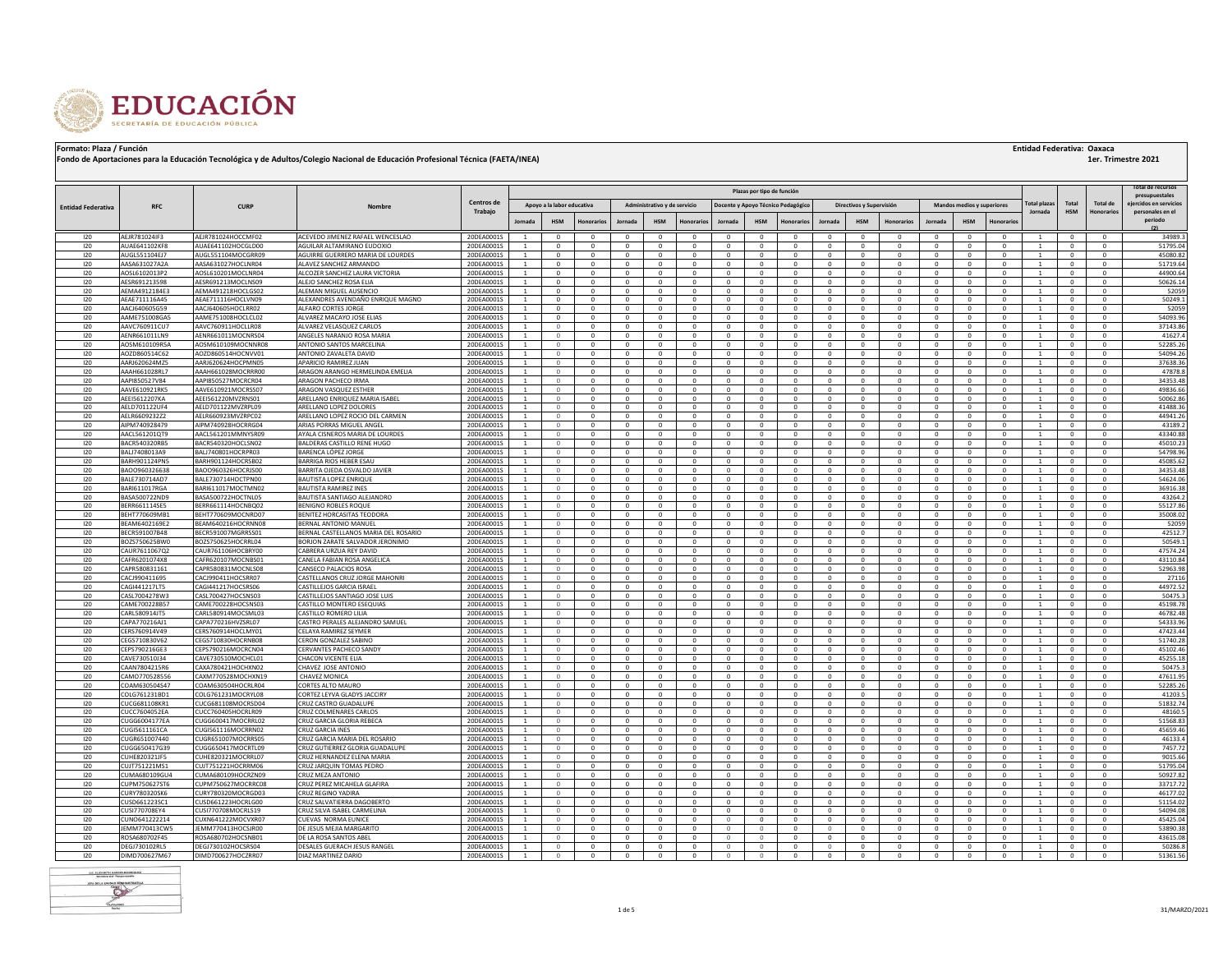

|                           |                                |                                          |                                                              |                          |                                |                            |                              |                              |                              |                            |                              |                            | Plazas por tipo de función         |                              |                                |                             |                              |                                   |                        |                                |                            |                      | otal de recursos                         |
|---------------------------|--------------------------------|------------------------------------------|--------------------------------------------------------------|--------------------------|--------------------------------|----------------------------|------------------------------|------------------------------|------------------------------|----------------------------|------------------------------|----------------------------|------------------------------------|------------------------------|--------------------------------|-----------------------------|------------------------------|-----------------------------------|------------------------|--------------------------------|----------------------------|----------------------|------------------------------------------|
|                           |                                |                                          |                                                              | Centros de               |                                |                            |                              |                              |                              |                            |                              |                            |                                    |                              |                                |                             |                              |                                   |                        |                                |                            |                      | presupuestales<br>eiercidos en servicios |
| <b>Entidad Federativa</b> | <b>RFC</b>                     | <b>CURP</b>                              | Nombre                                                       | Trabajo                  |                                | Apovo a la labor educativa |                              |                              | Administrativo y de servicio |                            |                              |                            | Docente y Apovo Técnico Pedagógico |                              | Directivos y Supervisión       |                             |                              | <b>Mandos medios y superiores</b> |                        | otal plaza<br>Jornada          | Total<br><b>HSM</b>        | <b>Total de</b>      | personales en el                         |
|                           |                                |                                          |                                                              |                          | <b>Jornada</b>                 | <b>HSM</b>                 | <b>Honorarios</b>            | Jornada                      | <b>HSM</b>                   | Honorarios                 | Jornada                      | <b>HSM</b>                 | <b>Honorarios</b>                  | Jornada                      | <b>HSM</b>                     | <b>Honorarios</b>           | <b>Jornada</b>               | <b>HSM</b>                        | <b>Honorarios</b>      |                                |                            |                      | periodo                                  |
|                           |                                |                                          |                                                              |                          |                                |                            |                              |                              |                              |                            |                              |                            |                                    |                              |                                |                             |                              |                                   |                        |                                |                            |                      | (2)                                      |
| 120                       | AEJR781024IF3                  | AEJR781024HOCCMF02                       | ACEVEDO JIMENEZ RAFAEL WENCESLAO                             | 20DEA0001S               |                                |                            |                              | $\Omega$                     |                              | $\Omega$                   | $\Omega$                     | $\Omega$                   | $\Omega$                           | $\Omega$                     | $\Omega$                       |                             | $\Omega$                     | $\Omega$                          | $\Omega$               |                                | $\Omega$                   |                      | 34989.3                                  |
| 120                       | AUAE641102KF8                  | AUAE641102HOCGLD00                       | AGUILAR ALTAMIRANO EUDOXIO                                   | 20DEA0001S               | $\mathbf{1}$                   | $\Omega$                   | $\Omega$                     | $\Omega$                     | $\Omega$                     | $\Omega$                   | $\Omega$                     | $\Omega$                   | $\Omega$                           | $\Omega$                     | $\Omega$                       |                             | $\Omega$                     | $\Omega$                          | $\Omega$               |                                | $\Omega$                   |                      | 51795.04                                 |
| 120<br>120                | AUGL551104EJ7<br>AASA631027A2A | AUGL551104MOCGRR09<br>AASA631027HOCLNR04 | AGUIRRE GUERRERO MARIA DE LOURDES<br>ALAVEZ SANCHEZ ARMANDO  | 20DEA0001S<br>20DEA0001S | $\mathbf{1}$<br>$\overline{1}$ | $\mathbf{0}$<br>$\Omega$   | $\mathbf{0}$<br>$\Omega$     | $^{\circ}$<br>$\Omega$       | $\mathbf{0}$<br>$\Omega$     | $^{\circ}$<br>$\Omega$     | $\mathbf{0}$<br>$\Omega$     | $^{\circ}$<br>$\Omega$     | $\mathbf{0}$<br>$\Omega$           | $^{\circ}$<br>$\Omega$       | $\mathbf{0}$<br>$\Omega$       | $\mathbf 0$                 | $\mathbf{0}$<br>$\Omega$     | $\mathbf 0$<br>$\Omega$           | 0<br>$\Omega$          | <sup>1</sup><br>$\overline{1}$ | $\mathbf{0}$<br>$\Omega$   |                      | 45080.82<br>51719.64                     |
| 120                       | AOSL6102013P2                  | AOSL610201MOCLNR04                       | ALCOZER SANCHEZ LAURA VICTORIA                               | 20DEA0001S               | $\mathbf{1}$                   | $\mathbf{0}$               | $\mathbf{0}$                 | $^{\circ}$                   | $\mathbf{0}$                 | $^{\circ}$                 | $\mathbf{0}$                 | $^{\circ}$                 | $\mathbf{0}$                       | $^{\circ}$                   | $\mathbf{0}$                   | $\mathbf 0$                 | $\mathbf{0}$                 | $\mathbf 0$                       | 0                      |                                | $^{\circ}$                 |                      | 44900.64                                 |
| 120                       | AESR691213598                  | AESR691213MOCLNS09                       | ALEJO SANCHEZ ROSA ELIA                                      | 20DEA0001S               | $\mathbf{1}$                   | $\mathbf{0}$               | $\mathbf{0}$                 | $\overline{0}$               | $\mathbf{0}$                 | $^{\circ}$                 | $\mathbf{0}$                 | $^{\circ}$                 | $\mathbf{0}$                       | $^{\circ}$                   | $\mathbf{0}$                   | $\Omega$                    | $\mathbf{0}$                 | $\mathbf 0$                       | $^{\circ}$             | $\mathbf{1}$                   | $\mathbf{0}$               | $\Omega$             | 50626.14                                 |
| 120                       | AEMA4912184E3                  | AEMA491218HOCLGS02                       | ALEMAN MIGUEL AUSENCIO                                       | 20DEA0001S               | $\mathbf{1}$                   | $\mathbf{0}$               | $\mathbf{0}$                 | $^{\circ}$                   | $\mathbf{0}$                 | $^{\circ}$                 | $\mathbf{0}$                 | $^{\circ}$                 | $\mathbf{0}$                       | $^{\circ}$                   | $\mathbf{0}$                   |                             | $\mathbf{0}$                 | $\mathbf 0$                       | $^{\circ}$             | <sup>1</sup>                   | $\mathbf{0}$               |                      | 52059                                    |
| 120                       | AEAE711116A45                  | AEAE711116HOCLVN09                       | ALEXANDRES AVENDAÑO ENRIQUE MAGNO                            | 20DEA0001S               | $\mathbf{1}$                   | $\mathbf{0}$               | $\mathbf{0}$                 | $\mathbf{0}$                 | $\mathbf{0}$                 | $^{\circ}$                 | $\mathbf{0}$                 | $^{\circ}$                 | $\mathbf{0}$                       | $^{\circ}$                   | $\overline{0}$                 | $\mathbf{0}$                | $\mathbf{0}$                 | $\mathbf 0$                       | $^{\circ}$             | <sup>1</sup>                   | $\mathbf{0}$               | $^{\circ}$           | 50249.1                                  |
| 120                       | AACJ640605G59                  | AACJ640605HOCLRR02                       | ALFARO CORTES JORGE                                          | 20DEA0001S               | $\mathbf{1}$                   | $\mathbf{0}$               | $\mathbf{0}$                 | $\mathbf{0}$                 | $\mathbf{0}$                 | $\overline{0}$             | $\mathbf{0}$                 | $\mathbf{0}$               | $\mathbf{0}$                       | $\mathbf{0}$                 | $\overline{0}$                 | $^{\circ}$                  | $\mathbf{0}$                 | $\mathbf{0}$                      | $^{\circ}$             | <sup>1</sup>                   | $\mathbf{0}$               | $^{\circ}$           | 52059                                    |
| 120                       | AAME751008GA5                  | AAME751008HOCLCL02                       | ALVAREZ MACAYO JOSE ELIAS                                    | 20DEA0001S               | -1                             | $\mathbf{0}$               | $\mathbf{0}$                 | $\mathbf{0}$                 | $\mathbf{0}$                 | $^{\circ}$                 | $\mathbf{0}$                 | $^{\circ}$                 | $\mathbf{0}$                       | $^{\circ}$                   | $\mathbf{0}$                   | $\mathbf{0}$                | $\mathbf{0}$                 | $\mathbf 0$                       | $^{\circ}$             | 1                              | $\mathbf{0}$               | $\Omega$             | 54093.96                                 |
| 120                       | AAVC760911CU7                  | AAVC760911HOCLLR08                       | ALVAREZ VELASQUEZ CARLOS                                     | 20DEA0001S               | $\mathbf{1}$                   | $\Omega$                   | $\mathbf{0}$                 | $\mathbf{0}$                 | $\mathbf{0}$                 | $^{\circ}$                 | $\mathbf{0}$                 | $\mathbf{0}$               | $\mathbf{0}$                       | $\mathbf{0}$                 | $\mathbf{0}$                   | $\Omega$                    | $\mathbf{0}$                 | $\mathbf 0$                       | $\Omega$               | <sup>1</sup>                   | $\mathbf{0}$               | $\Omega$             | 37143.86                                 |
| 120<br>120                | AENR661011LN9<br>AOSM610109R5A | AENR661011MOCNRS04<br>AOSM610109MOCNNR08 | ANGELES NARANJO ROSA MARIA<br>ANTONIO SANTOS MARCELINA       | 20DEA0001S<br>20DEA0001S | -1<br>$\overline{1}$           | $\Omega$<br>$\Omega$       | $\mathbf{0}$<br>$\Omega$     | $\mathbf{0}$<br>$\mathbf{0}$ | $\mathbf{0}$<br>$\mathbf{0}$ | $\mathbf{0}$<br>$^{\circ}$ | $\mathbf{0}$<br>$\mathbf{0}$ | $^{\circ}$<br>$\mathbf{0}$ | $\mathbf{0}$<br>$\mathbf{0}$       | $\mathbf{0}$<br>$\Omega$     | $\mathbf{0}$<br>$\mathbf{0}$   | $\Omega$<br>$\Omega$        | $\mathbf{0}$<br>$\mathbf{0}$ | $\mathbf 0$<br>$\mathbf 0$        | $^{\circ}$<br>$\Omega$ | 1<br>$\mathbf{1}$              | $\mathbf{0}$<br>$\Omega$   | $\Omega$<br>$\Omega$ | 41627.4<br>52285.26                      |
| 120                       | AOZD860514C62                  | AOZD860514HOCNVV01                       | ANTONIO ZAVALETA DAVID                                       | 20DEA0001S               | -1                             | $\Omega$                   | $\Omega$                     | $^{\circ}$                   | $^{\circ}$                   | $\Omega$                   | $^{\circ}$                   | $\Omega$                   | $^{\circ}$                         | $^{\circ}$                   | $^{\circ}$                     | $\Omega$                    | $\Omega$                     | $^{\circ}$                        | $\Omega$               | 1                              | $^{\circ}$                 | $\Omega$             | 54094.26                                 |
| 120                       | AARJ620624MZ5                  | AARJ620624HOCPMN05                       | APARICIO RAMIREZ IUAN                                        | 20DEA0001S               | $\mathbf{1}$                   | $\Omega$                   | $\mathbf{0}$                 | $\mathbf{0}$                 | $\mathbf{0}$                 | $\overline{0}$             | $\mathbf{0}$                 | $^{\circ}$                 | $\mathbf{0}$                       | $^{\circ}$                   | $\mathbf{0}$                   | $\Omega$                    | $\mathbf{0}$                 | $\mathbf 0$                       | $^{\circ}$             | <sup>1</sup>                   | $\mathbf{0}$               | $\Omega$             | 37638.36                                 |
| 120                       | AAAH661028RL7                  | AAAH661028MOCRRR00                       | ARAGON ARANGO HERMELINDA EMELIA                              | 20DEA0001S               | <sup>1</sup>                   | $\circ$                    | $^{\circ}$                   | $^{\circ}$                   | $^{\circ}$                   | $^{\circ}$                 | $^{\circ}$                   | $^{\circ}$                 | $^{\circ}$                         | $^{\circ}$                   | $^{\circ}$                     | $^{\circ}$                  | $^{\circ}$                   | $\mathbf{0}$                      | $^{\circ}$             | 1                              | $^{\circ}$                 |                      | 47878.8                                  |
| 120                       | AAPI850527V84                  | AAPI850527MOCRCR04                       | ARAGON PACHECO IRMA                                          | 20DEA0001S               | -1                             | $\Omega$                   | $\Omega$                     | $\Omega$                     | $\mathbf{0}$                 | $\Omega$                   | $\Omega$                     | $\Omega$                   | $\Omega$                           | $\Omega$                     | $\mathbf{0}$                   | $\Omega$                    | $\Omega$                     | $\Omega$                          | $\Omega$               | 1                              | $\Omega$                   | $\Omega$             | 34353.48                                 |
| 120                       | AAVE610921RK5                  | AAVE610921MOCRSS07                       | ARAGON VASQUEZ ESTHER                                        | 20DEA0001S               | <sup>1</sup>                   | $\circ$                    | $^{\circ}$                   | 0                            | $\mathbf{0}$                 | $^{\circ}$                 | $^{\circ}$                   | $^{\circ}$                 | $\mathbf{0}$                       | $^{\circ}$                   | $\mathbf 0$                    | $\Omega$                    | $^{\circ}$                   | 0                                 | $^{\circ}$             | 1                              | $^{\circ}$                 | $\Omega$             | 49836.66                                 |
| 120                       | <b>AFFI5612207KA</b>           | AEEI561220MVZRNS01                       | ARELLANO ENRIQUEZ MARIA ISABEL                               | 20DEA0001S               | $\mathbf{1}$                   | $\Omega$                   | $\Omega$                     | $\Omega$                     | $\Omega$                     | $\Omega$                   | $\Omega$                     | $\Omega$                   | $\Omega$                           | $\Omega$                     | $\mathbf{0}$                   | $\Omega$                    | $\Omega$                     | $\mathbf{0}$                      | $\Omega$               | $\mathbf{1}$                   | $\Omega$                   | $\Omega$             | 50062.86                                 |
| 120                       | AELD701122UF4                  | AELD701122MVZRPL09                       | ARELLANO LOPEZ DOLORES                                       | 20DEA0001S               | 1                              | $\Omega$                   | $^{\circ}$                   | $^{\circ}$                   | $\mathbf{0}$                 | $^{\circ}$                 | $^{\circ}$                   | $^{\circ}$                 | $\bf{0}$                           | $^{\circ}$                   | $^{\circ}$                     |                             | $^{\circ}$                   | 0                                 | $^{\circ}$             | 1                              | $^{\circ}$                 |                      | 41488.36                                 |
| 120                       | AFI R660923272                 | AFI R660923MVZRPC02                      | ARELLANO LOPEZ ROCIO DEL CARMEN                              | 20DEA0001S               | $\overline{1}$                 | $\Omega$                   | $\Omega$                     | $\Omega$                     | $\Omega$                     | $\Omega$                   | $\Omega$                     | $\Omega$                   | $\Omega$                           | $\Omega$                     | $\Omega$                       | $\Omega$<br>$\Omega$        | $\Omega$                     | $\Omega$                          | $\Omega$               | $\overline{1}$                 | $\Omega$                   | $\Omega$             | 44941.26                                 |
| 120<br>120                | AIPM740928479<br>AACL561201QT9 | AIPM740928HOCRRG04<br>AACL561201MMNYSR09 | ARIAS PORRAS MIGUEL ANGEL<br>AYALA CISNEROS MARIA DE LOURDES | 20DEA0001S<br>20DEA0001S | -1                             | $\circ$                    | $\mathbf{0}$<br>$\Omega$     | $\mathbf{0}$<br>$\Omega$     | $\mathbf{0}$<br>$^{\circ}$   | $^{\circ}$<br>$\Omega$     | $\mathbf{0}$<br>$\Omega$     | $\mathbf{0}$<br>$\Omega$   | $\mathbf{0}$<br>$^{\circ}$         | $\mathbf{0}$<br>$\Omega$     | $\mathbf{0}$<br>$\Omega$       |                             | $^{\circ}$<br>$\Omega$       | $\mathbf{0}$<br>$\Omega$          | $^{\circ}$<br>$\Omega$ | 1                              | $^{\circ}$<br>$\Omega$     | $\Omega$             | 43189.2<br>43340.88                      |
| 120                       | BACR540320RB5                  | BACR540320HOCLSN02                       | BALDERAS CASTILLO RENE HUGO                                  | 20DEA0001S               | -1                             | $\Omega$                   | $\mathbf{0}$                 | $\mathbf 0$                  | $\mathbf{0}$                 | $^{\circ}$                 | $\mathbf{0}$                 | $^{\circ}$                 | $\mathbf{0}$                       | $\mathbf{0}$                 | $\mathbf{0}$                   | $\Omega$                    | $\mathbf{0}$                 | $\mathbf{0}$                      | $\mathbf 0$            | 1                              | $\mathbf{0}$               | 0                    | 45010.23                                 |
| 120                       | BALJ7408013A9                  | BALJ740801HOCRPR03                       | BARENCA LÓPEZ JORGE                                          | 20DEA0001S               | $\mathbf{1}$                   |                            | $\Omega$                     | $\Omega$                     | $\mathbf{0}$                 | $\Omega$                   | $\Omega$                     | $^{\circ}$                 | $\mathbf{0}$                       | $^{\circ}$                   | $\Omega$                       | $\Omega$                    | $\Omega$                     | $\mathbf 0$                       | $\Omega$               | $\overline{1}$                 | $\mathbf{0}$               |                      | 54798.96                                 |
| 120                       | BARH901124PN5                  | BARH901124HOCRSB02                       | BARRIGA RIOS HEBER ESAU                                      | 20DEA0001S               | $\overline{1}$                 | $\Omega$                   | $\Omega$                     | $\mathbf 0$                  | $\mathbf{0}$                 | $\Omega$                   | $\mathbf{0}$                 | $^{\circ}$                 | $\mathbf{0}$                       | $^{\circ}$                   | $\mathbf{0}$                   | $\Omega$                    | $\mathbf 0$                  | $\mathbf 0$                       | $\mathbf 0$            | $\overline{1}$                 | $\mathbf{0}$               |                      | 45085.62                                 |
| 120                       | BAOO960326638                  | BAOO960326HOCRJS00                       | BARRITA OJEDA OSVALDO JAVIER                                 | 20DEA0001S               | $\mathbf{1}$                   |                            | $\Omega$                     | $\Omega$                     | $\Omega$                     | $\Omega$                   | $\Omega$                     | $\Omega$                   | $\mathbf{0}$                       | $\Omega$                     | $\Omega$                       |                             | $\Omega$                     | $\Omega$                          | $\Omega$               |                                | $\Omega$                   |                      | 34353.48                                 |
| 120                       | BALE730714AD7                  | BALE730714HOCTPN00                       | BAUTISTA LOPEZ ENRIQUE                                       | 20DEA0001S               |                                |                            | $\mathbf{0}$                 | $\mathbf{0}$                 | $^{\circ}$                   | $^{\circ}$                 | $\mathbf{0}$                 | $^{\circ}$                 | $\mathbf{0}$                       | $^{\circ}$                   | $\mathbf{0}$                   | $\mathbf 0$                 | $\mathbf{0}$                 | $\mathbf 0$                       | $\mathbf 0$            |                                | $^{\circ}$                 |                      | 54624.06                                 |
| 120                       | BARI611017RGA                  | BARI611017MOCTMN02                       | <b>BAUTISTA RAMIREZ INES</b>                                 | 20DEA0001S               |                                |                            | $\mathbf{0}$                 | $\mathbf 0$                  | $^{\circ}$                   |                            | $\mathbf{0}$                 | $^{\circ}$                 | $\mathbf 0$                        | $^{\circ}$                   | $\mathbf{0}$                   |                             | $\mathbf 0$                  | 0                                 | $\mathbf 0$            |                                | $\bf{0}$                   |                      | 36916.38                                 |
| 120                       | BASA500722ND9                  | BASA500722HOCTNL05                       | BAUTISTA SANTIAGO ALEJANDRO                                  | 20DEA0001S               | $\mathbf{1}$                   | $\Omega$                   | $\Omega$                     | $\Omega$                     | $\Omega$                     | $\Omega$                   | $\Omega$                     | $^{\circ}$                 | $\mathbf{0}$                       | $^{\circ}$                   | $\mathbf{0}$                   | $\Omega$                    | $\mathbf 0$                  | $\Omega$                          | $\mathbf 0$            | $\overline{1}$                 | $^{\circ}$                 |                      | 43264.2                                  |
| 120                       | BERR661114SE5                  | BERR661114HOCNBQ02                       | <b>BENIGNO ROBLES ROQUE</b>                                  | 20DEA0001S               | $\mathbf{1}$                   | $\Omega$                   |                              | $\mathbf 0$                  |                              |                            |                              | $^{\circ}$                 | $\mathbf 0$<br>$\mathbf{0}$        |                              | $\mathbf 0$                    |                             | $\mathbf 0$                  | $\mathbf 0$                       | $\mathbf 0$            | $\overline{1}$                 |                            |                      | 55127.86                                 |
| 120<br>120                | BEHT770609MB1<br>BEAM6402169E2 | BEHT770609MOCNRD07<br>BEAM640216HOCRNN08 | <b>BENITEZ HORCASITAS TEODORA</b><br>BERNAL ANTONIO MANUEL   | 20DEA0001S<br>20DEA0001S | $\mathbf{1}$                   | $\Omega$                   | $\mathbf{0}$<br>$\mathbf{0}$ | $\overline{0}$               | $\mathbf{0}$<br>$\mathbf{0}$ | $^{\circ}$<br>$^{\circ}$   | $\mathbf{0}$<br>$\mathbf{0}$ | $\mathbf{0}$               | $\bf{0}$                           | $\mathbf{0}$<br>$\mathbf{0}$ | $\mathbf{0}$<br>$\overline{0}$ | $\mathbf 0$<br>$\mathbf{0}$ | $\mathbf{0}$                 | $\bf 0$                           | $\mathbf{0}$           | $\overline{1}$                 | $^{\circ}$<br>$\mathbf{0}$ | $\Omega$             | 35008.02<br>52059                        |
| 120                       | BECR591007B48                  | BECR591007MGRRSS01                       | BERNAL CASTELLANOS MARIA DEL ROSARIO                         | 20DEA0001S               |                                | $\Omega$                   | $\Omega$                     | $\Omega$                     | $\Omega$                     | $\Omega$                   | $\Omega$                     | $^{\circ}$                 | $\mathbf 0$                        | $^{\circ}$                   | $\Omega$                       | $\Omega$                    | $\Omega$                     | $\Omega$                          | $\mathbf 0$            |                                | $\Omega$                   |                      | 42512.                                   |
| 120                       | BOZS750625BW0                  | BOZS750625HOCRRL04                       | BORJON ZARATE SALVADOR JERONIMO                              | 20DEA0001S               | $\overline{1}$                 | $\Omega$                   | $\mathbf{0}$                 | $\mathbf{0}$                 | $\mathbf{0}$                 | $^{\circ}$                 | $\mathbf{0}$                 | $\mathbf 0$                | $\mathbf 0$                        | $^{\circ}$                   | $\mathbf{0}$                   | $\mathbf{0}$                | $\mathbf{0}$                 | $\mathbf 0$                       | $^{\circ}$             | $\overline{1}$                 | $^{\circ}$                 |                      | 50549.1                                  |
| 120                       | CAUR7611067Q2                  | CAUR761106HOCBRY00                       | CABRERA URZUA REY DAVID                                      | 20DEA0001S               | $\overline{1}$                 | $\Omega$                   | $\Omega$                     | $\Omega$                     | $\Omega$                     | $\Omega$                   | $\Omega$                     | $^{\circ}$                 | $\mathbf{0}$                       | $\Omega$                     | $\Omega$                       | $\Omega$                    | $\Omega$                     | $^{\circ}$                        | $\Omega$               | $\mathbf{1}$                   | $^{\circ}$                 | $\Omega$             | 47574.24                                 |
| 120                       | CAFR6201074X8                  | CAFR620107MOCNBS01                       | CANELA FABIAN ROSA ANGELICA                                  | 20DEA0001S               | $\overline{1}$                 | $\Omega$                   | $\Omega$                     | $^{\circ}$                   | $^{\circ}$                   | $\Omega$                   | $\Omega$                     | $\mathbf 0$                | $\mathbf 0$                        | $\mathbf 0$                  | $\mathbf{0}$                   | $\Omega$                    | $\mathbf 0$                  | $\mathbf 0$                       | $\mathbf 0$            | $\overline{1}$                 | $^{\circ}$                 |                      | 43110.84                                 |
| 120                       | CAPR580831161                  | CAPR580831MOCNLS08                       | CANSECO PALACIOS ROSA                                        | 20DEA0001S               | $\overline{1}$                 | $\Omega$                   | $\Omega$                     | $\Omega$                     | $\Omega$                     | $\Omega$                   | $\Omega$                     | $\mathbf{0}$               | $\Omega$                           | $\Omega$                     | $\Omega$                       | $\Omega$                    | $\Omega$                     | $\Omega$                          | $\Omega$               | $\overline{1}$                 | $^{\circ}$                 |                      | 52963.98                                 |
| 120                       | CACJ990411695                  | CACJ990411HOCSRR07                       | CASTELLANOS CRUZ JORGE MAHONRI                               | 20DEA0001S               | $\overline{1}$                 | $\Omega$                   | $\Omega$                     | $\Omega$                     | $\Omega$                     | $\Omega$                   | $\Omega$                     | $\mathbf 0$                | $\Omega$                           | $\Omega$                     | $\Omega$                       | $\Omega$                    | $\Omega$                     | $\Omega$                          | $\mathbf 0$            | $\overline{1}$                 | $\Omega$                   | $\Omega$             | 27116                                    |
| 120                       | CAGI441217LT5                  | CAGI441217HOCSRS06                       | CASTILLEJOS GARCIA ISRAEL                                    | 20DEA00019               | $\mathbf{1}$                   | $\Omega$                   | $\Omega$                     | $\Omega$                     | $\Omega$                     | $\Omega$                   | $\Omega$                     | $\Omega$                   | $\Omega$                           | $\Omega$                     | $\Omega$                       |                             | $\Omega$                     | $\Omega$                          | $\Omega$               |                                | $\Omega$                   |                      | 44972.52                                 |
| 120                       | CASL7004278W3                  | CASL700427HOCSNS03                       | CASTILLEJOS SANTIAGO JOSE LUIS                               | 20DEA0001S               | $\overline{1}$                 | $\Omega$                   | $\Omega$                     | $\Omega$                     | $\Omega$                     | $\Omega$                   | $\Omega$                     | $\Omega$                   | $\Omega$                           | $\Omega$                     | $\Omega$                       | $\Omega$                    | $\Omega$                     | $\Omega$                          | $\Omega$               | $\overline{1}$                 | $\Omega$                   | $\Omega$             | 50475.3                                  |
| 120<br>120                | CAME700228B57<br>CARL580914JT5 | CAME700228HOCSNS03<br>CARL580914MOCSML03 | CASTILLO MONTERO ESEQUIAS<br>CASTILLO ROMERO LILIA           | 20DEA0001<br>20DEA0001S  | $\overline{1}$                 | $\Omega$                   | $\Omega$                     | $\Omega$<br>$\Omega$         | $\Omega$                     | $\Omega$<br>$\Omega$       | $\Omega$<br>$\Omega$         | $\Omega$<br>$\Omega$       | $\Omega$<br>$\Omega$               | $\Omega$<br>$\Omega$         | $\Omega$<br>$\Omega$           | $\Omega$                    | $\Omega$<br>$\Omega$         | $\Omega$<br>$\Omega$              | $\Omega$<br>$\Omega$   | $\overline{1}$                 | $\Omega$<br>$\Omega$       | $\Omega$             | 45198.78<br>46782.48                     |
| 120                       | CAPA770216AJ1                  | CAPA770216HVZSRL07                       | CASTRO PERALES ALEJANDRO SAMUEL                              | 20DEA0001S               | $\mathbf{1}$                   | $\Omega$                   | $\Omega$                     | $\Omega$                     | $\Omega$                     | $\overline{0}$             | $\Omega$                     | $^{\circ}$                 | $\mathbf{0}$                       | $^{\circ}$                   | $\Omega$                       | $\Omega$                    | $\mathbf{0}$                 | $\mathbf 0$                       | $^{\circ}$             |                                | $\mathbf{0}$               |                      | 54333.96                                 |
| 120                       | CERS760914V49                  | CERS760914HOCLMY01                       | CELAYA RAMIREZ SEYMEI                                        | 20DEA0001S               |                                | $\Omega$                   |                              | $\Omega$                     | $\Omega$                     | $\Omega$                   | $\Omega$                     | $\Omega$                   | $\Omega$                           | $\Omega$                     | $\Omega$                       |                             | $\Omega$                     | $\Omega$                          | $\Omega$               |                                | $\Omega$                   |                      | 47423.44                                 |
| 120                       | CEGS710830V62                  | CEGS710830HOCRNB08                       | CERON GONZALEZ SABINO                                        | 20DEA0001S               |                                | $\Omega$                   | $\Omega$                     | $\Omega$                     | $\Omega$                     | $\Omega$                   | $\Omega$                     | $^{\circ}$                 | $\mathbf{0}$                       | $\mathbf{0}$                 | $\Omega$                       |                             | $\mathbf 0$                  | $\Omega$                          | $\Omega$               | $\overline{1}$                 | $\mathbf 0$                |                      | 51740.28                                 |
| 120                       | CEPS790216GE3                  | CEPS790216MOCRCN04                       | CERVANTES PACHECO SANDY                                      | 20DEA0001S               |                                | $\Omega$                   | $\Omega$                     | $\Omega$                     | $\Omega$                     | $\Omega$                   | $\Omega$                     | $\Omega$                   | $\Omega$                           | $\Omega$                     | $\Omega$                       | $\Omega$                    | $\Omega$                     | $\Omega$                          | $\Omega$               |                                | $\Omega$                   |                      | 45102.46                                 |
| 120                       | CAVE730510J34                  | CAVE730510MOCHCL01                       | <b>CHACON VICENTE ELIA</b>                                   | 20DEA0001S               |                                | $\Omega$                   | $\Omega$                     | $\Omega$                     | $\Omega$                     | $\Omega$                   | $\Omega$                     | $^{\circ}$                 | $\mathbf{0}$                       | $\Omega$                     | $\Omega$                       |                             | $\mathbf 0$                  | $\Omega$                          | $\Omega$               | $\overline{1}$                 | $\Omega$                   |                      | 45255.18                                 |
| 120                       | CAAN7804215R6                  | CAXA780421HOCHXN02                       | CHAVEZ JOSE ANTONIO                                          | 20DEA0001S               |                                | $\Omega$                   | $\Omega$                     | $\Omega$                     | $\Omega$                     | $\Omega$                   | $\Omega$                     | $\Omega$                   | $\Omega$                           | $\Omega$                     | $\Omega$                       | $\Omega$                    | $\Omega$                     | $\Omega$                          | $\Omega$               |                                | $\Omega$                   |                      | 50475.3                                  |
| 120                       | CAMO770528556                  | CAXM770528MOCHXN19                       | <b>CHAVEZ MONICA</b>                                         | 20DEA0001S               |                                | $\mathbf{0}$               | $\mathbf{0}$                 | $\overline{0}$               | $\mathbf{0}$                 | $^{\circ}$                 | $\mathbf{0}$                 | $^{\circ}$                 | $\mathbf{0}$                       | $^{\circ}$                   | $\mathbf{0}$                   |                             | $\mathbf{0}$                 | $^{\circ}$                        | $^{\circ}$             | $\overline{1}$                 | $^{\circ}$                 |                      | 47611.95                                 |
| 120<br>120                | COAM630504S47<br>COLG761231BD1 | COAM630504HOCRLR04<br>COLG761231MOCRYL08 | CORTES ALTO MAURO                                            | 20DEA0001S               |                                | $\Omega$<br>$\mathbf{0}$   | $\Omega$<br>$\mathbf{0}$     | $\Omega$<br>$\overline{0}$   | $\Omega$<br>$\mathbf{0}$     | $\Omega$<br>$^{\circ}$     | $\Omega$<br>$\mathbf{0}$     | $\Omega$<br>$^{\circ}$     | $\Omega$<br>$\mathbf{0}$           | $\Omega$<br>$^{\circ}$       | $\Omega$<br>$\overline{0}$     |                             | $\Omega$<br>$\mathbf{0}$     | $\Omega$<br>$^{\circ}$            | $\Omega$<br>$^{\circ}$ | $\overline{1}$                 | $\Omega$<br>$\mathbf{0}$   |                      | 52285.26<br>41203.5                      |
| 120                       | CUCG681108KR1                  | CUCG681108MOCRSD04                       | CORTEZ LEYVA GLADYS JACCIRY<br>CRUZ CASTRO GUADALUPE         | 20DEA0001S<br>20DEA0001S |                                |                            |                              | $\Omega$                     |                              | $\Omega$                   |                              | $\Omega$                   | $\Omega$                           | $\Omega$                     | $\Omega$                       |                             | $\Omega$                     | $\Omega$                          |                        |                                | $\Omega$                   |                      | 51832.74                                 |
| 120                       | CUCC7604052EA                  | CUCC760405HOCRLR09                       | CRUZ COLMENARES CARLOS                                       | 20DEA0001S               |                                | $\Omega$                   | $\mathbf{0}$                 | $\overline{0}$               | $\mathbf{0}$                 | $^{\circ}$                 | $\mathbf{0}$                 | $^{\circ}$                 | $\mathbf{0}$                       | $^{\circ}$                   | $\mathbf{0}$                   | $\Omega$                    | $\mathbf{0}$                 | $^{\circ}$                        | $^{\circ}$             | $\overline{1}$                 | $^{\circ}$                 |                      | 48160.5                                  |
| 120                       | CUGG6004177EA                  | CUGG600417MOCRRL02                       | CRUZ GARCIA GLORIA REBECA                                    | 20DEA0001S               | $\overline{1}$                 | $\circ$                    | $\mathbf{0}$                 | $^{\circ}$                   | $^{\circ}$                   | $^{\circ}$                 | $^{\circ}$                   | $^{\circ}$                 | $\mathbf{0}$                       | $^{\circ}$                   | $\overline{\mathbf{0}}$        | $\Omega$                    | $\mathbf{0}$                 | $\mathbf 0$                       | $^{\circ}$             | $\overline{1}$                 | $^{\circ}$                 | $^{\circ}$           | 51568.83                                 |
| 120                       | CUGI5611161CA                  | CUGI561116MOCRRN02                       | CRUZ GARCIA INES                                             | 20DEA0001S               |                                | $\Omega$                   | $\mathbf{0}$                 | $\overline{0}$               | $\mathbf{0}$                 | $^{\circ}$                 | $\mathbf{0}$                 | $^{\circ}$                 | $\mathbf{0}$                       | $^{\circ}$                   | $\mathbf{0}$                   |                             | $\mathbf{0}$                 | $\mathbf 0$                       | $^{\circ}$             | $\overline{1}$                 | $\mathbf{0}$               |                      | 45659.46                                 |
| 120                       | CUGR651007440                  | CUGR651007MOCRRS05                       | CRUZ GARCIA MARIA DEL ROSARIO                                | 20DEA0001S               | -1                             | $\Omega$                   | $^{\circ}$                   | $^{\circ}$                   | $^{\circ}$                   | $^{\circ}$                 | $\mathbf{0}$                 | $^{\circ}$                 | $\mathbf{0}$                       | $^{\circ}$                   | $\mathbf 0$                    |                             | $\mathbf{0}$                 | $^{\circ}$                        | $^{\circ}$             | <sup>1</sup>                   | $^{\circ}$                 |                      | 46133.4                                  |
| 120                       | CUGG650417G39                  | CUGG650417MOCRTL09                       | CRUZ GUTIERREZ GLORIA GUADALUPE                              | 20DEA0001S               | -1                             | $\Omega$                   | $\mathbf{0}$                 | $\mathbf{0}$                 | $\mathbf{0}$                 | $\mathbf{0}$               | $^{\circ}$                   | $\mathbf{0}$               | $\mathbf{0}$                       | $\Omega$                     | $\overline{0}$                 | $\Omega$                    | $\overline{0}$               | $\mathbf{0}$                      | $^{\circ}$             | $\overline{1}$                 | $\Omega$                   | $\Omega$             | 7457.72                                  |
| 120                       | CUHE820321JF5                  | CUHE820321MOCRRL07                       | CRUZ HERNANDEZ ELENA MARIA                                   | 20DEA0001S               | -1                             | $\Omega$                   | $^{\circ}$                   | $^{\circ}$                   | $\mathbf{0}$                 | $^{\circ}$                 | $\mathbf{0}$                 | $^{\circ}$                 | $\bf{0}$                           | $^{\circ}$                   | $\mathbf 0$                    |                             | $\mathbf{0}$                 | $\mathbf 0$                       | $^{\circ}$             | 1                              | $^{\circ}$                 |                      | 9015.66                                  |
| 120                       | CUJT751221MS1                  | CUJT751221HOCRRM06                       | CRUZ JARQUIN TOMAS PEDRO                                     | 20DEA0001S               | -1                             | $\Omega$                   | $\mathbf{0}$                 | $\mathbf{0}$                 | $\mathbf{0}$                 | $\overline{0}$             | $\mathbf{0}$                 | $\mathbf{0}$               | $\mathbf{0}$                       | $\Omega$                     | $\overline{0}$                 | $\Omega$                    | $\mathbf{0}$                 | $\mathbf{0}$                      | $\Omega$               | $\overline{1}$                 | $\Omega$                   | $\Omega$             | 51795.04                                 |
| 120                       | CUMA680109GU4                  | CUMA680109HOCRZN09                       | CRUZ MEZA ANTONIO                                            | 20DEA0001S               | -1<br>$\overline{1}$           | $\Omega$<br>$\Omega$       | $^{\circ}$                   | $^{\circ}$                   | $^{\circ}$                   | $^{\circ}$                 | $^{\circ}$                   | $^{\circ}$                 | $^{\circ}$                         | $\Omega$                     | $\mathbf{0}$                   | $\Omega$<br>$\Omega$        | $^{\circ}$                   | $^{\circ}$                        | $^{\circ}$             | <sup>1</sup>                   | $^{\circ}$                 | $\Omega$             | 50927.82                                 |
| 120<br>120                | CUPM750627ST6<br>CURY780320SK6 | CUPM750627MOCRRC08<br>CURY780320MOCRGD03 | CRUZ PEREZ MICAHELA GLAFIRA<br>CRUZ REGINO YADIRA            | 20DEA0001S<br>20DEA0001S | $\overline{1}$                 | $\Omega$                   | $^{\circ}$<br>$\Omega$       | $^{\circ}$<br>$^{\circ}$     | $^{\circ}$<br>$^{\circ}$     | $^{\circ}$<br>$\Omega$     | $^{\circ}$<br>$^{\circ}$     | $^{\circ}$<br>$\Omega$     | $^{\circ}$<br>$\Omega$             | $^{\circ}$<br>$\Omega$       | $\mathbf{0}$<br>$\mathbf{0}$   | $\Omega$                    | $^{\circ}$<br>$\Omega$       | $^{\circ}$<br>$^{\circ}$          | $^{\circ}$<br>$\Omega$ | <sup>1</sup><br>$\overline{1}$ | $^{\circ}$<br>$\Omega$     | $\Omega$             | 33717.72<br>46177.02                     |
| 120                       | CUSD661223SC1                  | CUSD661223HOCRLG00                       | CRUZ SALVATIERRA DAGOBERTO                                   | 20DEA0001S               | -1.                            | $\Omega$                   | $\Omega$                     | $\Omega$                     | $^{\circ}$                   | $^{\circ}$                 | $^{\circ}$                   | $\Omega$                   | $^{\circ}$                         | $\Omega$                     | $\Omega$                       | $\Omega$                    | $^{\circ}$                   | $^{\circ}$                        | $\Omega$               | $\overline{1}$                 | $\Omega$                   | $\Omega$             | 51154.02                                 |
| 120                       | CUSI770708FY4                  | <b>CUSI770708MOCRLS19</b>                | CRUZ SILVA ISABEL CARMELINA                                  | 20DEA0001S               | $\overline{1}$                 | $\Omega$                   | $\Omega$                     | $\Omega$                     | $^{\circ}$                   | $\Omega$                   | $^{\circ}$                   | $\Omega$                   | $\Omega$                           | $\Omega$                     | $\Omega$                       | $\Omega$                    | $\Omega$                     | $^{\circ}$                        | $\Omega$               | $\overline{1}$                 | $\Omega$                   | $\Omega$             | 54094.08                                 |
| 120                       | CUNO641222214                  | CUXN641222MOCVXR07                       | <b>CUEVAS NORMA EUNICE</b>                                   | 20DEA0001S               | $\mathbf{1}$                   | $\cap$                     | $\Omega$                     | $\Omega$                     | $^{\circ}$                   | $^{\circ}$                 | $\Omega$                     | $\Omega$                   | $\Omega$                           | $\Omega$                     | $\Omega$                       | $^{\circ}$                  | $^{\circ}$                   | $^{\circ}$                        | $\Omega$               | $\mathbf{1}$                   | $^{\circ}$                 | $\Omega$             | 45425.04                                 |
| 120                       | EMM770413CW5                   | IEMM770413HOCSIR00                       | DE JESUS MEJIA MARGARITO                                     | 20DEA0001S               |                                |                            | $\Omega$                     | $\Omega$                     | $\Omega$                     | $\Omega$                   | $\Omega$                     | $\Omega$                   | $\Omega$                           | $\Omega$                     | $\Omega$                       | $\Omega$                    | $\Omega$                     | $\Omega$                          | $\Omega$               |                                | $\Omega$                   |                      | 53890.38                                 |
| 120                       | ROSA680702F45                  | ROSA680702HOCSNB01                       | DE LA ROSA SANTOS ABEL                                       | 20DEA0001S               | $\mathbf{1}$                   | $\mathbf{0}$               | $^{\circ}$                   | $^{\circ}$                   | $\mathbf{0}$                 | $^{\circ}$                 | $\mathbf{0}$                 | $\circ$                    | $\mathbf{0}$                       | $^{\circ}$                   | $\mathbf{0}$                   | $\mathbf{0}$                | $^{\circ}$                   | $\mathbf 0$                       | $^{\circ}$             | -1                             | $^{\circ}$                 | $^{\circ}$           | 43615.08                                 |
| 120                       | DEGJ730102RL5                  | DEGJ730102HOCSRS04                       | DESALES GUERACH JESUS RANGEL                                 | 20DEA0001S               | $\mathbf{1}$                   | $\Omega$                   | $\Omega$                     | $\mathbf 0$                  | $\Omega$                     | $\Omega$                   | $\Omega$                     | $\circ$                    | $\mathbf{0}$                       | $\Omega$                     | $\Omega$                       | $\Omega$                    | $\Omega$                     | $\mathbf 0$                       | $\mathbf 0$            | $\overline{1}$                 | $\Omega$                   | $\Omega$             | 50286.8                                  |
| 120                       | DIMD700627M67                  | DIMD700627HOCZRR07                       | DIAZ MARTINEZ DARIO                                          | 20DEA0001S               |                                |                            | $^{\circ}$                   | 0                            | $^{\circ}$                   |                            |                              | $\mathbf 0$                | $\mathbf 0$                        | $^{\circ}$                   | 0                              |                             | $\Omega$                     | 0                                 | $\mathbf 0$            |                                | $\mathbf 0$                |                      | 51361.56                                 |

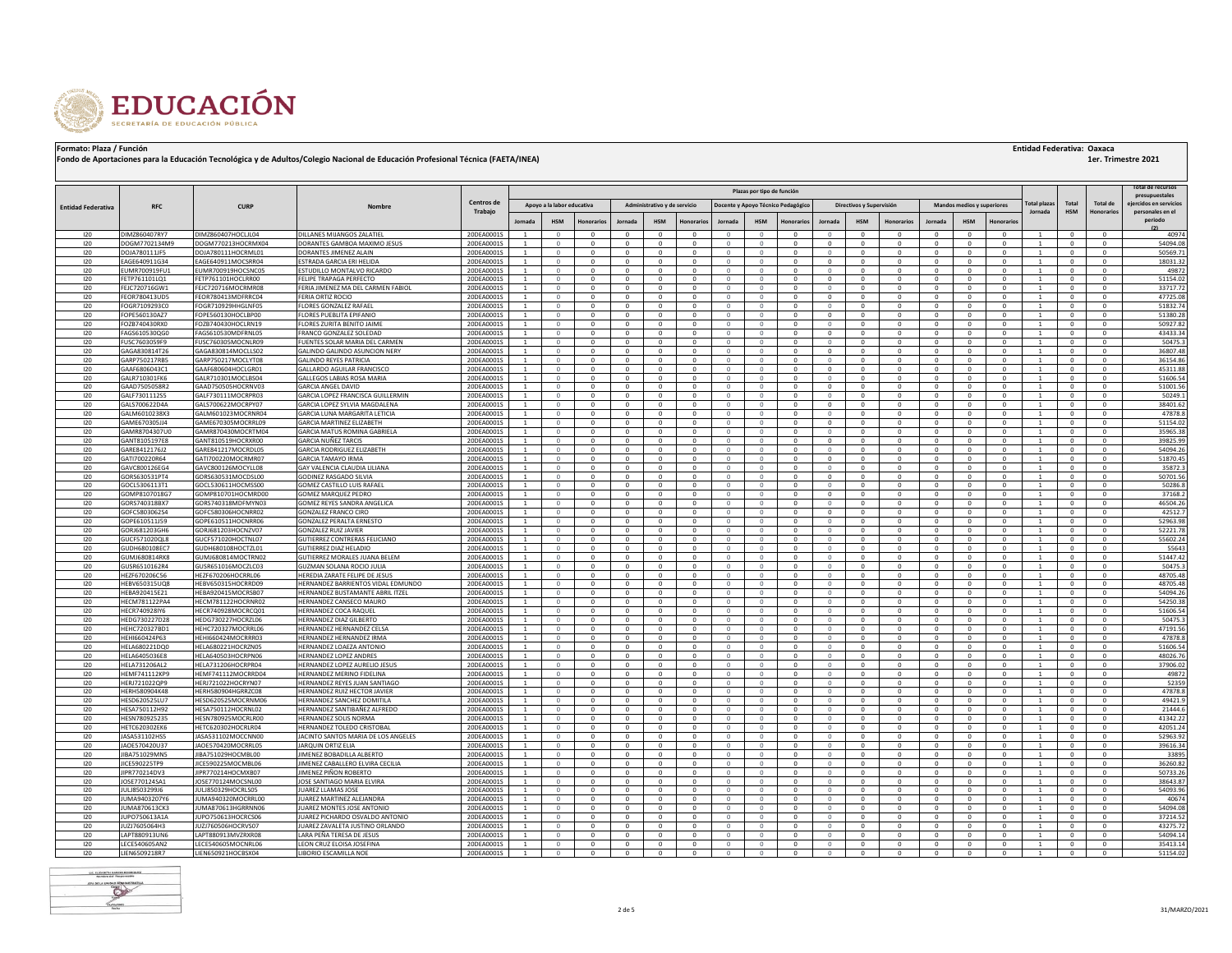

|  | <b>Entidad Federativa: Oaxaca</b> |  |  |
|--|-----------------------------------|--|--|
|--|-----------------------------------|--|--|

|                           | Plazas por tipo de función     |                                          |                                                                |                          |                      |                          |                            |                              |                              |                            |                              |                                  | Total de recursos<br>presupuestales |                                  |                              |                                |                                  |                              |                        |                                  |                              |                          |                             |
|---------------------------|--------------------------------|------------------------------------------|----------------------------------------------------------------|--------------------------|----------------------|--------------------------|----------------------------|------------------------------|------------------------------|----------------------------|------------------------------|----------------------------------|-------------------------------------|----------------------------------|------------------------------|--------------------------------|----------------------------------|------------------------------|------------------------|----------------------------------|------------------------------|--------------------------|-----------------------------|
| <b>Entidad Federativa</b> | <b>RFC</b>                     | <b>CURP</b>                              | Nombre                                                         | Centros de               |                      |                          | Apoyo a la labor educativa |                              | Administrativo y de servicio |                            |                              |                                  | Docente y Apoyo Técnico Pedagógico  |                                  | Directivos y Supervisión     |                                |                                  | Mandos medios y superiores   |                        | 'otal plaza                      | Tota                         | <b>Total de</b>          | jercidos en servicio        |
|                           |                                |                                          |                                                                | Trabajo                  |                      |                          |                            |                              | <b>HSM</b>                   |                            |                              |                                  |                                     |                                  | <b>HSM</b>                   |                                |                                  |                              |                        | Jornada                          | <b>HSM</b>                   | Honorarios               | personales en el<br>periodo |
|                           |                                |                                          |                                                                |                          | Jornada              | <b>HSM</b>               | norarios                   | Jornada                      |                              | onorario:                  | Jornada                      | <b>HSM</b>                       | norario                             | Jornada                          |                              | Honorarios                     | Jornada                          | <b>HSM</b>                   |                        |                                  |                              |                          |                             |
| 120                       | DIM7860407RY7<br>DOGM7702134M9 | DIMZ860407HOCLJL04                       | DILLANES MIJANGOS ZALATIEL                                     | 20DEA0001S               | <sup>1</sup>         |                          |                            | $\Omega$                     | $\Omega$                     | $\Omega$                   | $\Omega$                     | $\Omega$                         | $\Omega$                            | $\Omega$                         | $\Omega$                     | $\Omega$                       | $^{\circ}$                       | $\Omega$                     |                        | $\overline{1}$                   | $^{\circ}$                   | $^{\circ}$               | 40974<br>54094.08           |
| 120<br>120                |                                | DOGM770213HOCRMX04<br>DOJA780111HOCRML01 | DORANTES GAMBOA MAXIMO JESUS<br>DORANTES JIMENEZ ALAIN         | 20DEA0001S               | -1<br>-1             | $\Omega$<br>$\Omega$     | $\Omega$<br>$\Omega$       | $\mathbf{0}$<br>$^{\circ}$   | $^{\circ}$<br>$^{\circ}$     | $\Omega$<br>$^{\circ}$     | $\Omega$<br>$^{\circ}$       | $\mathbf{0}$<br>$\mathbf{0}$     | $^{\circ}$<br>$\mathbf{0}$          | $\mathbf{0}$<br>$\overline{0}$   | $\mathbf{0}$<br>$\mathbf{0}$ | $^{\circ}$<br>$^{\circ}$       | $^{\circ}$<br>$^{\circ}$         | $\mathbf{0}$<br>$^{\circ}$   | $\Omega$<br>$\Omega$   | <sup>1</sup><br><sup>1</sup>     | $^{\circ}$<br>$^{\circ}$     | $^{\circ}$<br>$\Omega$   | 50569.7                     |
| 120                       | DOJA780111JF5<br>EAGE640911G34 | EAGE640911MOCSRR04                       | ESTRADA GARCIA ERI HELIDA                                      | 20DEA0001S<br>20DEA0001S | -1                   | $\Omega$                 | $^{\circ}$                 | $\overline{0}$               | $^{\circ}$                   | $^{\circ}$                 | $\Omega$                     | $\circ$                          | $^{\circ}$                          | $\overline{0}$                   | $\mathbf{0}$                 | $\mathbf{0}$                   | $^{\circ}$                       | $\mathbf{0}$                 | $^{\circ}$             | <sup>1</sup>                     | $^{\circ}$                   | $^{\circ}$               | 18031.32                    |
| 120                       | EUMR700919FU:                  | EUMR700919HOCSNC05                       | ESTUDILLO MONTALVO RICARDO                                     | 20DEA00019               |                      |                          |                            | $\overline{0}$               | $\mathbf{0}$                 | $\Omega$                   | $\Omega$                     | $\overline{0}$                   | $\overline{0}$                      | $\Omega$                         | $\mathbf{0}$                 | $\mathbf 0$                    | $\overline{0}$                   | $\mathbf{0}$                 |                        | 1                                | $\Omega$                     | $\Omega$                 | 49872                       |
| 120                       | FETP761101LQ1                  | FETP761101HOCLRR00                       | FELIPE TRAPAGA PERFECTO                                        | 20DEA0001S               | -1                   | $\Omega$                 | $\Omega$                   | $\overline{0}$               | $\Omega$                     | $\Omega$                   | $\Omega$                     | $\mathbf{0}$                     | $^{\circ}$                          | $\mathbf{0}$                     | $\mathbf{0}$                 | $\mathbf{0}$                   | $^{\circ}$                       | $\mathbf{0}$                 | $\Omega$               | <sup>1</sup>                     | $^{\circ}$                   | $^{\circ}$               | 51154.02                    |
| 120                       | FFIC720716GW1                  | EEIC720716MOCRMR08                       | FERIA JIMENEZ MA DEL CARMEN FABIOL                             | 20DEA0001S               | $\overline{1}$       | $\Omega$                 | $\Omega$                   | $\Omega$                     | $\Omega$                     | $\Omega$                   | $\Omega$                     | $\Omega$                         | $\Omega$                            | $\Omega$                         | $\Omega$                     | $^{\circ}$                     | $\Omega$                         | $\Omega$                     | $\Omega$               | $\mathbf{1}$                     | $\Omega$                     | $\Omega$                 | 33717.72                    |
| 120                       | FEOR780413UD5                  | FFOR780413MDERRC04                       | FERIA ORTIZ ROCIO                                              | 20DEA0001S               | -1                   | $\Omega$                 | $\Omega$                   | $\overline{0}$               | $\Omega$                     | $\Omega$                   | $\Omega$                     | $\mathbf{0}$                     | $^{\circ}$                          | $\mathbf{0}$                     | $\mathbf{0}$                 | $\mathbf{0}$                   | $^{\circ}$                       | $\mathbf{0}$                 | $\Omega$               | <sup>1</sup>                     | $\Omega$                     | $\Omega$                 | 47725.08                    |
| 120                       | FOGR7109293C0                  | FOGR710929HHGLNF05                       | FLORES GONZALEZ RAFAEL                                         | 20DEA0001S               | $\overline{1}$       | $\Omega$                 | $\Omega$                   | $\Omega$                     | $\Omega$                     | $\Omega$                   | $\Omega$                     | $\Omega$                         | $\Omega$                            | $\Omega$                         | $\Omega$                     | $^{\circ}$                     | $\Omega$                         | $\Omega$                     | $\Omega$               | $\mathbf{1}$                     | $\Omega$                     | $\Omega$                 | 51832.74                    |
| 120                       | FOPE560130AZ7                  | FOPE560130HOCLBP00                       | LORES PUEBLITA EPIFANIO                                        | 20DEA0001S               | -1                   | $\Omega$                 | $\mathbf{0}$               | $^{\circ}$                   | $^{\circ}$                   | $\mathbf{0}$               | $\mathbf{0}$                 | $\circ$                          | $^{\circ}$                          | $\mathbf{0}$                     | $\mathbf{0}$                 | $\mathbf{0}$                   | $^{\circ}$                       | $^{\circ}$                   | $^{\circ}$             | 1                                | $^{\circ}$                   | $^{\circ}$               | 51380.28                    |
| 120<br>120                | FOZB740430RX0<br>FAGS610530QG0 | FOZB740430HOCLRN19<br>FAGS610530MDFRNL05 | <b>FLORES ZURITA BENITO JAIME</b><br>FRANCO GONZALEZ SOLEDAD   | 20DEA0001S<br>20DEA0001S | $\overline{1}$<br>-1 | $\Omega$<br>$\mathbf{0}$ | $\Omega$<br>$\mathbf{0}$   | $\Omega$<br>$^{\circ}$       | $\Omega$<br>$^{\circ}$       | $\Omega$<br>$\mathbf{0}$   | $\Omega$<br>$\mathbf{0}$     | $\Omega$<br>$\circ$              | $\Omega$<br>$^{\circ}$              | $\Omega$<br>$\mathbf{0}$         | $\Omega$<br>$\mathbf{0}$     | $\Omega$<br>$\mathbf{0}$       | $\Omega$<br>$^{\circ}$           | $\Omega$<br>$\mathbf{0}$     | $\Omega$<br>$^{\circ}$ | $\overline{1}$<br>1              | $\Omega$<br>$^{\circ}$       | $\Omega$<br>$^{\circ}$   | 50927.82<br>43433.34        |
| 120                       | FUSC7603059F9                  | EUSC760305MOCNLR09                       | <b>FUENTES SOLAR MARIA DEL CARMEN</b>                          | 20DEA00019               | $\overline{1}$       |                          | $\Omega$                   | $\Omega$                     | $\Omega$                     | $\Omega$                   | $\Omega$                     | $\Omega$                         | $\Omega$                            | $\Omega$                         | $\Omega$                     | $\Omega$                       | $\Omega$                         | $\Omega$                     | $\Omega$               | $\mathbf{1}$                     | $^{\circ}$                   | $\Omega$                 | 50475.3                     |
| 120                       | GAGA830814T26                  | GAGA830814MOCLLS02                       | GALINDO GALINDO ASUNCION NERY                                  | 20DEA0001S               | -1                   | $\Omega$                 | $\mathbf{0}$               | $\mathbf{0}$                 | $\mathbf{0}$                 | $\mathbf{0}$               | $\circ$                      | $\circ$                          | $\overline{0}$                      | $\overline{0}$                   | $\mathbf{0}$                 | $\mathbf{0}$                   | $\overline{0}$                   | $\mathbf{0}$                 | $\mathbf{0}$           | 1                                | $\mathbf{0}$                 | $^{\circ}$               | 36807.48                    |
| 120                       | GARP750217RB5                  | GARP750217MOCLYT08                       | <b>GALINDO REYES PATRICIA</b>                                  | 20DEA0001S               | $\mathbf{1}$         | $\Omega$                 | $\Omega$                   | $\mathbf{0}$                 | $\mathbf{0}$                 | $^{\circ}$                 | $\Omega$                     | $\overline{0}$                   | $\mathbf{0}$                        | $\Omega$                         | $\mathbf{0}$                 | $\mathbf{0}$                   | $\Omega$                         | $\mathbf{0}$                 | $\Omega$               | $\mathbf{1}$                     | $\mathbf{0}$                 | $\Omega$                 | 36154.86                    |
| 120                       | GAAF6806043C1                  | GAAF680604HOCLGR01                       | GALLARDO AGUILAR FRANCISCO                                     | 20DEA0001S               |                      |                          |                            | $\Omega$                     | $\Omega$                     | $\Omega$                   |                              | $\Omega$                         | $\Omega$                            | $\Omega$                         | $\Omega$                     | $\mathbf 0$                    | $\Omega$                         | $\Omega$                     |                        |                                  |                              |                          | 45311.88                    |
| 120                       | GALR710301FK6                  | GALR710301MOCLBS04                       | GALLEGOS LABIAS ROSA MARIA                                     | 20DEA0001S               | $\mathbf{1}$         |                          | $\Omega$                   | $\Omega$                     | $\Omega$                     | $\Omega$                   | $\Omega$                     | $\Omega$                         | $\mathbf{0}$                        | $\Omega$                         | $\mathbf{0}$                 | $\mathbf{0}$                   | $\Omega$                         | $\Omega$                     | $\Omega$               | $\mathbf{1}$                     | $\Omega$                     | $\Omega$                 | 51606.54                    |
| 120                       | GAAD7505058R2                  | GAAD750505HOCRNV03                       | <b>GARCIA ANGEL DAVID</b>                                      | 20DEA0001S               |                      |                          |                            | $\mathbf{0}$                 | $\mathbf 0$                  | $\mathbf 0$                |                              | $\mathbf{0}$                     | $^{\circ}$                          | $^{\circ}$                       | $\mathbf{0}$                 | $\mathbf 0$                    | $^{\circ}$                       | $\mathbf{0}$                 |                        |                                  | $\mathbf 0$                  |                          | 51001.56                    |
| 120                       | GALF7301112S5                  | GALF730111MOCRPR03                       | GARCIA LOPEZ FRANCISCA GUILLERMIN                              | 20DEA0001S               | $\mathbf{1}$         |                          | $\Omega$                   | $\Omega$                     | $\Omega$                     | $\Omega$                   | $\Omega$                     | $\Omega$                         | $\Omega$                            | $\Omega$                         | $\Omega$                     | $\mathbf 0$                    | $\Omega$                         | $\Omega$                     | $\Omega$               | $\mathbf{1}$                     | $\Omega$                     | $\Omega$                 | 50249.1                     |
| 120<br>120                | GALS700622D4A<br>GALM6010238X3 | GALS700622MOCRPY07<br>GALM601023MOCRNR04 | GARCIA LOPEZ SYLVIA MAGDALENA<br>GARCIA LUNA MARGARITA LETICIA | 20DEA0001S<br>20DEA0001S |                      |                          | $\mathbf 0$                | $\mathbf{0}$<br>$\mathbf{0}$ | $\mathbf 0$<br>$^{\circ}$    | $\mathbf 0$<br>$\mathbf 0$ | $\mathbf{0}$<br>$\Omega$     | $\mathbf{0}$<br>$\mathbf{0}$     | $^{\circ}$<br>$\overline{0}$        | $^{\circ}$                       | $\mathbf{0}$<br>$\Omega$     | $\mathbf 0$<br>$\mathbf 0$     | $^{\circ}$<br>$\overline{0}$     | $\mathbf{0}$<br>$\mathbf{0}$ |                        |                                  | $\mathbf 0$<br>$^{\circ}$    | 0                        | 38401.62<br>47878.8         |
| 120                       | GAME670305JJ4                  | GAME670305MOCRRL09                       | GARCIA MARTINEZ ELIZABETH                                      | 20DEA0001S               | $\mathbf{1}$         |                          | $\Omega$                   | $\mathbf{0}$                 | $^{\circ}$                   | $^{\circ}$                 | $\circ$                      | $\mathbf{0}$                     | $\overline{0}$                      | $\mathbf{0}$                     | $\mathbf{0}$                 | $\mathbf 0$                    | $\overline{0}$                   | $\mathbf{0}$                 | $\Omega$               | $\overline{1}$                   | $^{\circ}$                   | $\mathbf 0$              | 51154.02                    |
| 120                       | GAMR8704307U0                  | GAMR870430MOCRTM04                       | GARCIA MATUS ROMINA GABRIELA                                   | 20DEA0001S               |                      |                          | $\Omega$                   | $\mathbf{0}$                 | $^{\circ}$                   | $^{\circ}$                 | $\Omega$                     | $\mathbf{0}$                     | $\overline{0}$                      | $\Omega$                         | $\mathbf{0}$                 | $\mathbf 0$                    | $\overline{0}$                   | $\mathbf{0}$                 |                        |                                  | $^{\circ}$                   |                          | 35965.38                    |
| 120                       | GANT8105197E8                  | GANT810519HOCRXR00                       | GARCIA NUÑEZ TARCIS                                            | 20DEA0001S               | $\overline{1}$       | $\Omega$                 | $\Omega$                   | $^{\circ}$                   | $\mathbf{0}$                 | $\Omega$                   | $\Omega$                     | $\overline{0}$                   | $\overline{0}$                      | $\overline{0}$                   | $\Omega$                     | 0                              | $\overline{0}$                   | $\mathbf{0}$                 | $\Omega$               | $\overline{1}$                   | $\mathbf{0}$                 | $^{\circ}$               | 39825.99                    |
| 120                       | GARE8412176J2                  | GARE841217MOCRDL05                       | GARCIA RODRIGUEZ ELIZABETH                                     | 20DEA0001S               |                      |                          |                            | $\mathbf{0}$                 | $^{\circ}$                   | $\mathbf 0$                | $\mathbf{0}$                 | $\mathbf 0$                      | $\overline{0}$                      | $\Omega$                         | $\mathbf{0}$                 | $\mathbf 0$                    | $\overline{0}$                   | $\mathbf{0}$                 |                        |                                  | $^{\circ}$                   |                          | 54094.26                    |
| 120                       | GATI700220R64                  | GATI700220MOCRMR07                       | GARCIA TAMAYO IRMA                                             | 20DEA0001S               | $\overline{1}$       | $\Omega$                 | $^{\circ}$                 | $^{\circ}$                   | $\mathbf{0}$                 | $\Omega$                   | $\circ$                      | $\overline{0}$                   | $\overline{0}$                      | $\overline{0}$                   | $\Omega$                     | 0                              | $\overline{0}$                   | $\mathbf{0}$                 | $^{\circ}$             | $\overline{1}$                   | $\mathbf{0}$                 | $^{\circ}$               | 51870.45                    |
| 120                       | GAVC800126EG4                  | GAVC800126MOCYLL08                       | GAY VALENCIA CLAUDIA LILIANA                                   | 20DEA00019               |                      |                          |                            | $\Omega$                     | $\Omega$                     | $\Omega$                   | $\Omega$                     | $\Omega$                         | $\Omega$                            | $\Omega$                         | $\Omega$                     | $\Omega$                       | $\Omega$                         | $\Omega$                     |                        | $\overline{1}$                   | $\Omega$                     | $\Omega$                 | 35872.                      |
| 120                       | GORS630531PT4                  | GORS630531MOCDSL00                       | GODINEZ RASGADO SILVIA                                         | 20DEA0001S               | $\overline{1}$       | $\Omega$                 | $^{\circ}$<br>$\Omega$     | $\mathbf{0}$<br>$\Omega$     | $\mathbf{0}$<br>$\Omega$     | $\mathbf 0$<br>$\Omega$    | $\circ$<br>$\Omega$          | $\mathbf{0}$<br>$\Omega$         | $\overline{0}$<br>$\Omega$          | $\overline{0}$<br>$\Omega$       | $\mathbf{0}$<br>$\Omega$     | $\bf 0$<br>$\mathbf 0$         | $\overline{0}$<br>$\Omega$       | $\mathbf{0}$<br>$\Omega$     | $^{\circ}$<br>$\Omega$ | $\overline{1}$<br>$\overline{1}$ | $^{\circ}$<br>$\Omega$       | $^{\circ}$<br>$\Omega$   | 50701.56                    |
| 120<br>120                | GOCL5306113T1<br>GOMP8107018G7 | GOCL530611HOCMSS00<br>GOMP810701HOCMRD00 | <b>GOMEZ CASTILLO LUIS RAFAEL</b><br>GOMEZ MARQUEZ PEDRO       | 20DEA00019<br>20DEA0001S |                      |                          |                            | $\mathbf{0}$                 | $\mathbf{0}$                 | $\mathbf 0$                | $\circ$                      | $\mathbf{0}$                     | $\overline{0}$                      | $\overline{0}$                   | $\mathbf{0}$                 | 0                              | $\overline{0}$                   | $\mathbf{0}$                 |                        | $\mathbf{1}$                     | $^{\circ}$                   | 0                        | 50286.8<br>37168.2          |
| 120                       | GORS740318BX7                  | GORS740318MDFMYN03                       | <b>GOMEZ REYES SANDRA ANGELICA</b>                             | 20DEA0001S               | $\overline{1}$       | $\Omega$                 | $\Omega$                   | $\Omega$                     | $\Omega$                     | $\Omega$                   | $\Omega$                     | $\Omega$                         | $\Omega$                            | $\Omega$                         | $\Omega$                     | $\Omega$                       | $\Omega$                         | $\Omega$                     | $\Omega$               | $\overline{1}$                   | $\Omega$                     | $\Omega$                 | 46504.26                    |
| 120                       | GOFC5803062S4                  | GOFC580306HOCNRR02                       | <b>GONZALEZ FRANCO CIRO</b>                                    | 20DEA0001S               | $\overline{1}$       | $\Omega$                 | $\Omega$                   | $\Omega$                     | $\Omega$                     | $\Omega$                   | $\Omega$                     | $\Omega$                         | $\Omega$                            | $\Omega$                         | $\Omega$                     | $\mathbf 0$                    | $\Omega$                         | $\Omega$                     | $\Omega$               | $\overline{1}$                   | $\Omega$                     | $\Omega$                 | 42512.7                     |
| 120                       | GOPE610511J59                  | GOPE610511HOCNRR06                       | GONZALEZ PERALTA ERNESTO                                       | 20DEA00019               | $\overline{1}$       |                          | $\Omega$                   | $\Omega$                     | $\Omega$                     | $\Omega$                   | $\Omega$                     | $\Omega$                         | $\Omega$                            | $\Omega$                         | $\Omega$                     | $\Omega$                       | $\Omega$                         | $\Omega$                     | $\Omega$               | $\overline{1}$                   | $\Omega$                     | $\Omega$                 | 52963.98                    |
| 120                       | GORJ681203GH6                  | GORJ681203HOCNZV07                       | <b>GONZALEZ RUIZ JAVIER</b>                                    | 20DEA0001S               | $\overline{1}$       | $\Omega$                 | $\Omega$                   | $\Omega$                     | $\Omega$                     | $\Omega$                   | $\Omega$                     | $\mathbf{0}$                     | $\Omega$                            | $\Omega$                         | $\Omega$                     | $\mathbf{0}$                   | $\Omega$                         | $\Omega$                     | $\Omega$               | $\overline{1}$                   | $\Omega$                     | $\Omega$                 | 52221.78                    |
| 120                       | GUCF571020QL                   | GUCF571020HOCTNL07                       | GUTIERREZ CONTRERAS FELICIANO                                  | 20DEA00019               |                      |                          |                            | $\Omega$                     | $\Omega$                     | $\Omega$                   |                              | $\Omega$                         | $\Omega$                            | $\Omega$                         | $\Omega$                     | $\Omega$                       | $\Omega$                         | $\Omega$                     |                        |                                  | $\Omega$                     |                          | 55602.24                    |
| 120                       | GUDH680108EC7                  | GUDH680108HOCTZL01                       | GUTIERREZ DIAZ HELADIO                                         | 20DEA0001S               | $\overline{1}$       | $\Omega$                 | $\Omega$                   | $\Omega$                     | $\Omega$                     | $\Omega$                   | $\Omega$                     | $\Omega$                         | $\Omega$                            | $\Omega$                         | $\Omega$                     | $\Omega$                       | $\Omega$                         | $\Omega$                     | $\Omega$               | $\overline{1}$                   | $\Omega$                     | $\Omega$                 | 55643                       |
| 120                       | GUMJ680814RK8                  | GUMI680814MOCTRN02                       | <b>GUTIERREZ MORALES JUANA BELEM</b>                           | 20DEA00015               | $\overline{1}$       | $\Omega$                 | $\Omega$                   | $\Omega$<br>$\Omega$         | $\Omega$<br>$\Omega$         | $\Omega$<br>$\Omega$       | $\Omega$<br>$\Omega$         | $\Omega$<br>$\Omega$             | $\Omega$                            | $\Omega$<br>$\Omega$             | $\Omega$                     | $\Omega$                       | $\Omega$<br>$\Omega$             | $\Omega$                     | $\Omega$               | $\overline{1}$                   | $\Omega$                     | $\Omega$                 | 51447.42                    |
| 120<br>120                | GUSR6510162R4<br>HF7F670206C56 | GUSR651016MOCZLC03<br>HEZE670206HOCRRL06 | GUZMAN SOLANA ROCIO JULIA<br>HEREDIA ZARATE FELIPE DE JESUS    | 20DEA00019<br>20DEA00015 | $\overline{1}$       | $\Omega$                 | $\Omega$                   | $\Omega$                     | $\Omega$                     | $\Omega$                   | $\Omega$                     | $\Omega$                         | $\Omega$<br>$\Omega$                | $\circ$                          | $\Omega$<br>$\Omega$         | $\Omega$<br>$\Omega$           | $\Omega$                         | $\Omega$<br>$\Omega$         | $\Omega$               | $\overline{1}$                   | $\Omega$<br>$\Omega$         | $\Omega$<br>$\Omega$     | 50475.<br>48705.48          |
| 120                       | HEBV650315UQ8                  | HEBV650315HOCRRD09                       | HERNANDEZ BARRIENTOS VIDAL EDMUNDO                             | 20DEA0001S               | $\overline{1}$       |                          | $\Omega$                   | $\Omega$                     | $\mathbf{0}$                 | $\Omega$                   | $\Omega$                     | $\Omega$                         | $\Omega$                            | $\Omega$                         | $\Omega$                     | $\mathbf{0}$                   | $\Omega$                         | $\Omega$                     | $\Omega$               | $\mathbf{1}$                     | $\mathbf{0}$                 | $\Omega$                 | 48705.48                    |
| 120                       | HEBA920415E21                  | HEBA920415MOCRSB07                       | HERNANDEZ BUSTAMANTE ABRIL ITZEL                               | 20DEA0001S               | $\overline{1}$       | $\Omega$                 | $\Omega$                   | $\Omega$                     | $\Omega$                     | $\Omega$                   | $\Omega$                     | $\Omega$                         | $\Omega$                            | $\circ$                          | $\Omega$                     | $\Omega$                       | $\Omega$                         | $\Omega$                     | $\Omega$               | $\overline{1}$                   | $\Omega$                     | $\Omega$                 | 54094.26                    |
| 120                       | HECM781122PA4                  | HECM781122HOCRNR02                       | HERNANDEZ CANSECO MAURO                                        | 20DEA0001S               | $\overline{1}$       |                          | $\Omega$                   | $\Omega$                     | $\mathbf{0}$                 | $\Omega$                   | $\Omega$                     | $\Omega$                         | $\Omega$                            | $\Omega$                         | $\Omega$                     | $\mathbf{0}$                   | $\Omega$                         | $\Omega$                     | $\Omega$               | $\mathbf{1}$                     | $\mathbf{0}$                 | $\Omega$                 | 54250.38                    |
| 120                       | HECR740928IY6                  | HECR740928MOCRCQ01                       | HERNANDEZ COCA RAQUEL                                          | 20DEA0001S               | $\overline{1}$       |                          | $\Omega$                   | $\Omega$                     | $\Omega$                     | $\Omega$                   | $\Omega$                     | $\Omega$                         | $\Omega$                            | $\Omega$                         | $\Omega$                     | $\Omega$                       | $\Omega$                         | $\Omega$                     | $\Omega$               | $\mathbf{1}$                     | $\Omega$                     | $\Omega$                 | 51606.54                    |
| 120                       | HEDG730227D28                  | HEDG730227HOCRZL06                       | HERNANDEZ DIAZ GILBERTO                                        | 20DEA0001S               | $\overline{1}$       |                          |                            | $\Omega$                     | $\Omega$                     | $\Omega$                   | $\Omega$                     | $\Omega$                         | $\Omega$                            | $\Omega$                         | $\Omega$                     | $\Omega$                       | $\Omega$                         | $\Omega$                     |                        | $\mathbf{1}$                     | $\Omega$                     | $\Omega$                 | 50475.                      |
| 120<br>120                | HEHC720327BD1<br>HEHI660424P63 | HEHC720327MOCRRL06<br>HEHI660424MOCRRR03 | <b>HERNANDEZ HERNANDEZ CELSA</b><br>HERNANDEZ HERNANDEZ IRMA   | 20DEA0001S               | $\overline{1}$       |                          | $\Omega$                   | $\Omega$<br>$^{\circ}$       | $\Omega$<br>$\mathbf{0}$     | $\Omega$<br>$^{\circ}$     | $\Omega$<br>$\Omega$         | $\Omega$<br>$\overline{0}$       | $\Omega$<br>$\overline{0}$          | $\Omega$<br>$\overline{0}$       | $\Omega$<br>$\mathbf{0}$     | $\Omega$<br>$\mathbf 0$        | $\Omega$<br>$\overline{0}$       | $\Omega$<br>$\mathbf{0}$     | $\Omega$               | $\mathbf{1}$<br>$\mathbf{1}$     | $\Omega$<br>$\mathbf 0$      | $\Omega$<br>$^{\circ}$   | 47191.56<br>47878.8         |
| 120                       | <b>HELA680221DO0</b>           | HELA680221HOCRZN05                       | <b>HERNANDEZ LOAEZA ANTONIO</b>                                | 20DEA0001S<br>20DEA0001S | $\overline{1}$       |                          | $\Omega$                   | $\Omega$                     | $\Omega$                     | $\Omega$                   | $\Omega$                     | $\Omega$                         | $\Omega$                            | $\Omega$                         | $\Omega$                     | $\Omega$                       | $\Omega$                         | $\Omega$                     |                        | $\mathbf{1}$                     | $\Omega$                     | $\Omega$                 | 51606.54                    |
| 120                       | HELA6405036E8                  | HELA640503HOCRPN06                       | <b>HERNANDEZ LOPEZ ANDRES</b>                                  | 20DEA0001S               |                      |                          |                            | $^{\circ}$                   | $\mathbf{0}$                 | $^{\circ}$                 | $\mathbf 0$                  | $\overline{0}$                   | $\overline{0}$                      | $\overline{0}$                   | $\mathbf{0}$                 | $\mathbf 0$                    | $\overline{0}$                   | $\mathbf{0}$                 |                        | $\mathbf{1}$                     | $\mathbf{0}$                 | $\mathbf{0}$             | 48026.76                    |
| 120                       | HELA731206AL2                  | HELA731206HOCRPR04                       | HERNANDEZ LOPEZ AURELIO JESUS                                  | 20DEA0001S               |                      |                          |                            | $\Omega$                     | $\Omega$                     | $\Omega$                   | $\Omega$                     | $\Omega$                         | $\Omega$                            | $\Omega$                         | $\Omega$                     | $\Omega$                       | $\Omega$                         | $\Omega$                     |                        |                                  | $\Omega$                     | $\Omega$                 | 37906.02                    |
| 120                       | <b>HEMF741112KP9</b>           | HEMF741112MOCRRD04                       | HERNANDEZ MERINO FIDELINA                                      | 20DEA00019               | $\mathbf{1}$         |                          | $\mathbf{0}$               | $^{\circ}$                   | $\mathbf{0}$                 | $^{\circ}$                 | $\mathbf{0}$                 | $\overline{0}$                   | $\overline{0}$                      | $\overline{0}$                   | $\mathbf{0}$                 | $\mathbf 0$                    | $\overline{0}$                   | $\mathbf{0}$                 |                        | $\mathbf{1}$                     | $\mathbf{0}$                 | $^{\circ}$               | 49872                       |
| 120                       | HERJ721022QP9                  | HERJ721022HOCRYN07                       | HERNANDEZ REYES JUAN SANTIAGO                                  | 20DEA0001S               | $\overline{1}$       |                          | $\Omega$                   | $^{\circ}$                   | $\mathbf{0}$                 | $^{\circ}$                 | $\Omega$                     | $\overline{0}$                   | $\overline{0}$                      | $\overline{0}$                   | $\mathbf{0}$                 | $\mathbf{0}$                   | $\overline{0}$                   | $\mathbf{0}$                 |                        | $\mathbf{1}$                     | $\Omega$                     | $\mathbf{0}$             | 52359                       |
| 120                       | HERH580904K48                  | HERH580904HGRRZC08                       | HERNANDEZ RUIZ HECTOR JAVIER                                   | 20DEA00019               |                      |                          | $\mathbf{0}$               | $^{\circ}$                   | $\mathbf{0}$                 | $^{\circ}$                 | $\circ$                      | $\overline{0}$                   | $\overline{0}$                      | $\overline{0}$                   | $\mathbf{0}$                 | $\mathbf{0}$                   | $\overline{0}$                   | $\mathbf{0}$                 |                        | $\mathbf{1}$                     | $\mathbf{0}$                 | $^{\circ}$               | 47878.8                     |
| 120                       | HESD620525LU7                  | HESD620525MOCRNM06                       | HERNANDEZ SANCHEZ DOMITILA                                     | 20DEA0001S               | $\overline{1}$       |                          | $\Omega$                   | $^{\circ}$                   | $\mathbf{0}$                 | $^{\circ}$                 | $\Omega$                     | $\overline{0}$                   | $\overline{0}$                      | $\overline{0}$                   | $\mathbf{0}$                 | $\mathbf{0}$                   | $\overline{0}$                   | $\mathbf{0}$                 | $\Omega$               | $\mathbf{1}$                     | $\Omega$                     | $\mathbf{0}$             | 49421.9                     |
| 120<br>120                | HESA750112H92<br>HESN780925235 | HESA750112HOCRNL02<br>HESN780925MOCRLR00 | HERNANDEZ SANTIBAÑEZ ALFREDO<br>HERNANDEZ SOLIS NORMA          | 20DEA0001S<br>20DEA0001S | $\overline{1}$       | $\Omega$                 | $^{\circ}$<br>$^{\circ}$   | $^{\circ}$<br>$^{\circ}$     | $\mathbf{0}$<br>$\mathbf{0}$ | $\mathbf{0}$<br>$^{\circ}$ | $\mathbf{0}$<br>$\mathbf{0}$ | $\overline{0}$<br>$\overline{0}$ | $\overline{0}$<br>$\overline{0}$    | $\overline{0}$<br>$\overline{0}$ | $\mathbf{0}$<br>$\mathbf{0}$ | $\overline{0}$<br>$\mathbf{0}$ | $\overline{0}$<br>$\overline{0}$ | $\mathbf{0}$<br>$\mathbf{0}$ | $^{\circ}$             | <sup>1</sup><br>$\mathbf{1}$     | $\mathbf{0}$<br>$\mathbf{0}$ | $^{\circ}$<br>$^{\circ}$ | 21444.6<br>41342.22         |
| 120                       | HETC620302EK6                  | HETC620302HOCRLR04                       | HERNANDEZ TOLEDO CRISTOBAL                                     | 20DEA0001S               | -1                   | $\Omega$                 | $^{\circ}$                 | $^{\circ}$                   | $\mathbf{0}$                 | $\mathbf{0}$               | $\mathbf{0}$                 | $\overline{0}$                   | $\overline{0}$                      | $\overline{0}$                   | $\mathbf{0}$                 | $\mathbf{0}$                   | $\overline{0}$                   | $\bf{0}$                     | $^{\circ}$             | <sup>1</sup>                     | $\mathbf{0}$                 | $^{\circ}$               | 42051.24                    |
| 120                       | JASA531102HS5                  | JASA531102MOCCNN00                       | JACINTO SANTOS MARIA DE LOS ANGELES                            | 20DEA0001S               |                      |                          |                            | $^{\circ}$                   | $\mathbf{0}$                 | $^{\circ}$                 | $\mathbf{0}$                 | $\overline{0}$                   | $\overline{0}$                      | $\overline{0}$                   | $\mathbf{0}$                 | $\mathbf 0$                    | $\overline{0}$                   | $\mathbf{0}$                 |                        | $\mathbf{1}$                     | $^{\circ}$                   | $^{\circ}$               | 52963.92                    |
| 120                       | JAOE570420U37                  | JAOE570420MOCRRL05                       | JARQUIN ORTIZ ELIA                                             | 20DEA0001S               | -1                   | $^{\circ}$               | $^{\circ}$                 | $^{\circ}$                   | $\mathbf{0}$                 | $\mathbf 0$                | $\circ$                      | $\mathbf 0$                      | $\bf{0}$                            | $\overline{0}$                   | $\mathbf 0$                  | 0                              | $\overline{0}$                   | $\mathbf 0$                  | $^{\circ}$             | <sup>1</sup>                     | $\mathbf{0}$                 | 0                        | 39616.34                    |
| 120                       | JIBA751029MN5                  | JIBA751029HOCMBL00                       | JIMENEZ BOBADILLA ALBERTO                                      | 20DEA0001S               | $\overline{1}$       | $\Omega$                 | $\Omega$                   | $\overline{0}$               | $\Omega$                     | $\mathbf{0}$               | $\Omega$                     | $\overline{0}$                   | $\overline{0}$                      | $\overline{0}$                   | $\mathbf{0}$                 | $\mathbf{0}$                   | $\overline{0}$                   | $\mathbf{0}$                 | $\Omega$               | <sup>1</sup>                     | $\Omega$                     | $\mathbf{0}$             | 33895                       |
| 120                       | <b>JICE590225TP9</b>           | JICE590225MOCMBL06                       | JIMENEZ CABALLERO ELVIRA CECILIA                               | 20DEA00019               |                      |                          |                            | $\mathbf 0$                  | $\mathbf{0}$                 | 0                          | $\mathbf{0}$                 | $\overline{0}$                   | $\mathbf{0}$                        | $\circ$                          | $\mathbf{0}$                 | 0                              | $\overline{\mathbf{0}}$          | $\mathbf{0}$                 |                        | 1                                | $^{\circ}$                   | 0                        | 36260.82                    |
| 120                       | JIPR770214DV3                  | JIPR770214HOCMXB07                       | JIMENEZ PIÑON ROBERTO                                          | 20DEA00019               | $\overline{1}$       | $\Omega$                 | $\Omega$                   | $\Omega$                     | $\Omega$                     | $^{\circ}$                 | $\mathbf{0}$                 | $\overline{0}$                   | $\overline{0}$                      | $\overline{0}$                   | $\mathbf{0}$                 | $\mathbf{0}$                   | $\overline{0}$                   | $\mathbf{0}$                 | $\Omega$               | <sup>1</sup>                     | $\Omega$                     | $^{\circ}$               | 50733.26                    |
| 120                       | JOSE770124SA1                  | IOSE770124MOCSNL00                       | <b>IOSE SANTIAGO MARIA ELVIRA</b>                              | 20DEA0001S               | -1                   | $\Omega$                 | $\Omega$                   | $\Omega$                     | $\Omega$                     | $\Omega$                   | $\Omega$                     | $\mathbf{0}$                     | $\mathbf{0}$                        | $\overline{0}$                   | $\mathbf{0}$                 | $\mathbf{0}$                   | $^{\circ}$                       | $\mathbf{0}$                 | $\Omega$               | <sup>1</sup>                     | $^{\circ}$                   | $^{\circ}$               | 38643.87                    |
| 120<br>120                | JULJ8503299J6<br>JUMA9403207Y6 | JULJ850329HOCRLS05<br>IUMA940320MOCRRL00 | <b>JUAREZ LLAMAS JOSE</b><br>JUAREZ MARTINEZ ALEJANDRA         | 20DEA0001S<br>20DEA00019 | $\overline{1}$<br>-1 | $\Omega$<br>$\Omega$     | $\Omega$<br>$\Omega$       | $\overline{0}$<br>$\Omega$   | $\mathbf{0}$<br>$\Omega$     | $^{\circ}$<br>$\Omega$     | $\mathbf{0}$<br>$\Omega$     | $\overline{0}$<br>$\mathbf{0}$   | $\overline{0}$<br>$\mathbf{0}$      | $\overline{0}$<br>$\overline{0}$ | $\mathbf{0}$<br>$\Omega$     | $\mathbf{0}$<br>$^{\circ}$     | $\overline{0}$<br>$^{\circ}$     | $\mathbf{0}$<br>$\mathbf{0}$ | $\Omega$<br>$\Omega$   | <sup>1</sup><br><sup>1</sup>     | $\Omega$<br>$^{\circ}$       | $^{\circ}$<br>$^{\circ}$ | 54093.96<br>40674           |
| 120                       | JUMA870613CK3                  | <b>IUMA870613HGRRNN06</b>                | <b>ILIAREZ MONTES IOSE ANTONIO</b>                             | 20DEA00015               | $\overline{1}$       | $\Omega$                 | $\Omega$                   | $\Omega$                     | $\Omega$                     | $\Omega$                   | $\Omega$                     | $\Omega$                         | $\Omega$                            | $\Omega$                         | $\Omega$                     | $\Omega$                       | $\Omega$                         | $\Omega$                     | $\Omega$               | $\overline{1}$                   | $^{\circ}$                   | $\Omega$                 | 54094.08                    |
| 120                       | JUPO750613A1A                  | ILIPO750613HOCRCS06                      | JUAREZ PICHARDO OSVALDO ANTONIO                                | 20DEA00019               | $\overline{1}$       | $\Omega$                 | $\Omega$                   | $\Omega$                     | $\Omega$                     | $\Omega$                   | $^{\circ}$                   | $\circ$                          | $\Omega$                            | $\Omega$                         | $\Omega$                     | $^{\circ}$                     | $\Omega$                         | $\Omega$                     | $\Omega$               | <sup>1</sup>                     | $^{\circ}$                   | $\Omega$                 | 37214.52                    |
| 120                       | IU717605064H3                  | IUZI760506HOCRVS07                       | IUAREZ ZAVALETA IUSTINO ORLANDO                                | 20DEA00015               | $\overline{1}$       | $\Omega$                 | $\Omega$                   | $\Omega$                     | $\Omega$                     | $\Omega$                   | $^{\circ}$                   | $\Omega$                         | $\Omega$                            | $\Omega$                         | $\Omega$                     | $\Omega$                       | $\Omega$                         | $\Omega$                     | $\Omega$               | $\overline{1}$                   | $^{\circ}$                   | $\Omega$                 | 43275.72                    |
| 120                       | APT880913UN6                   | LAPT880913MVZRXR08                       | LARA PEÑA TERESA DE JESUS                                      | 20DEA0001S               |                      |                          | $^{\circ}$                 | $^{\circ}$                   | $^{\circ}$                   | $^{\circ}$                 | $\Omega$                     | $\mathbf{0}$                     | $\mathbf{0}$                        | $\circ$                          | $^{\circ}$                   | 0                              | $\overline{0}$                   | $^{\circ}$                   |                        | 1                                | $\Omega$                     | $^{\circ}$               | 54094.14                    |
| 120                       | LECE540605AN2                  | LECE540605MOCNRL06                       | LEON CRUZ ELOISA JOSEFINA                                      | 20DEA0001S               | $\overline{1}$       | $\Omega$                 | $\Omega$                   | $\Omega$                     | $\Omega$                     | $\Omega$                   | $\Omega$                     | $\Omega$                         | $\Omega$                            | $\Omega$                         | $\Omega$                     | $\Omega$                       | $\Omega$                         | $\Omega$                     | $\Omega$               | $\mathbf{1}$                     | $\Omega$                     | $\Omega$                 | 35413.14                    |
| 120                       | LIEN6509218R7                  | LIEN650921HOCBSX04                       | LIBORIO ESCAMILLA NOE                                          | 20DEA0001S               | 1                    |                          | $^{\circ}$                 | $^{\circ}$                   | $\Omega$                     | 0                          | $\mathbf{0}$                 | 0                                | $^{\circ}$                          | 0                                | $^{\circ}$                   | $\mathbf 0$                    |                                  | $^{\circ}$                   |                        |                                  | $\Omega$                     | 0                        | 51154.02                    |

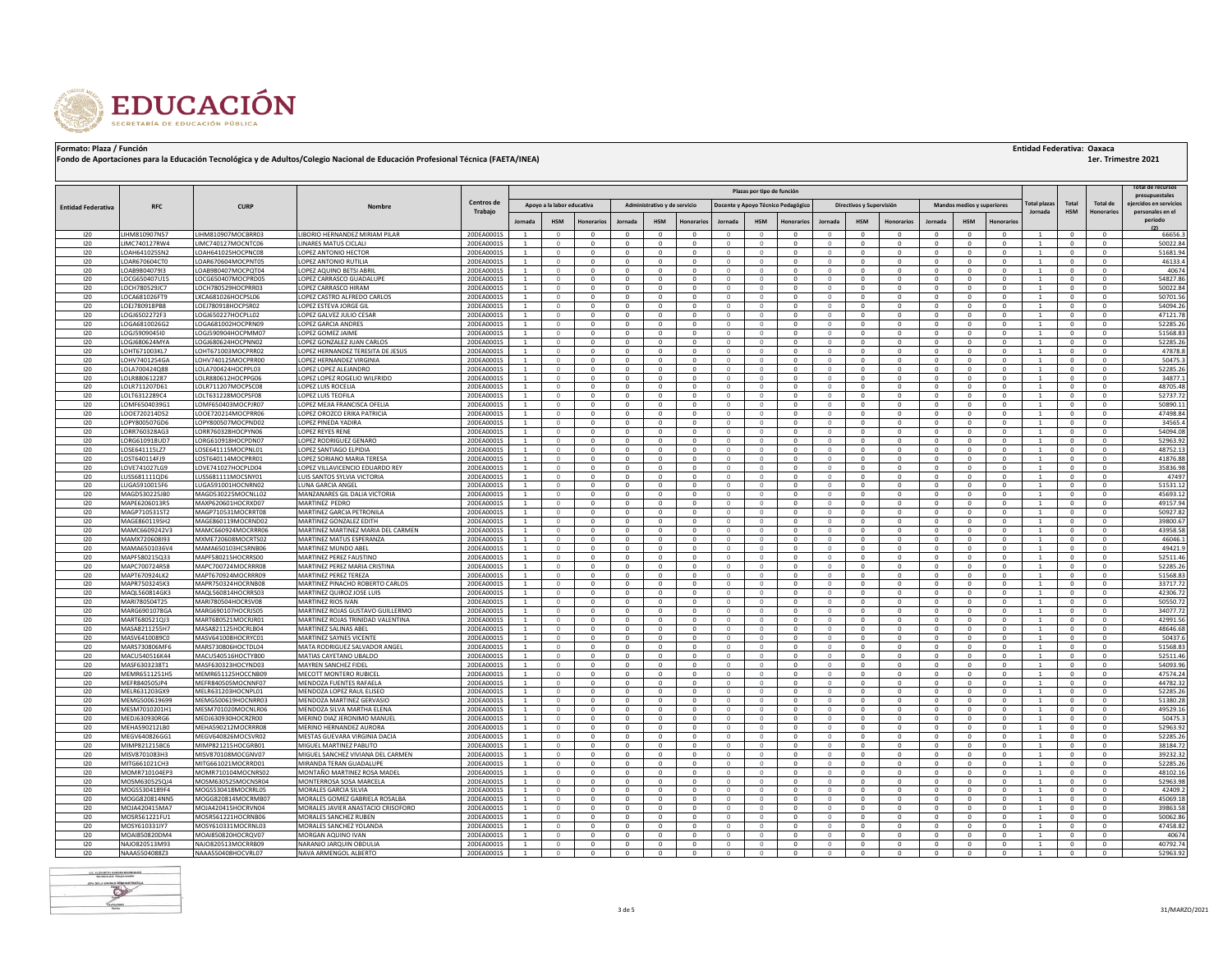

|  | <b>Entidad Federativa: Oaxaca</b> |  |  |
|--|-----------------------------------|--|--|
|--|-----------------------------------|--|--|

|                           |                                |                                          |                                                                      | Centros de               |                                  |                              |                          |                            |                              |                             |                         | Plazas por tipo de función |                                    |                              |                             |                             |                            |                              |                           | 'otal plaz                       | Total                        | Total de             | Total de recursos<br>presupuestales<br>eiercidos en servicios |
|---------------------------|--------------------------------|------------------------------------------|----------------------------------------------------------------------|--------------------------|----------------------------------|------------------------------|--------------------------|----------------------------|------------------------------|-----------------------------|-------------------------|----------------------------|------------------------------------|------------------------------|-----------------------------|-----------------------------|----------------------------|------------------------------|---------------------------|----------------------------------|------------------------------|----------------------|---------------------------------------------------------------|
| <b>Entidad Federativa</b> | <b>RFC</b>                     | <b>CURP</b>                              |                                                                      | <b>Trabaio</b>           |                                  | Apoyo a la labor educativa   |                          |                            | Administrativo y de servicio |                             |                         |                            | Docente y Apoyo Técnico Pedagógico |                              | Directivos y Supervisión    |                             |                            | Mandos medios y superiores   |                           | Jornada                          | <b>HSM</b>                   | Ionorario:           | personales en el<br>periodo                                   |
|                           |                                |                                          |                                                                      |                          | lornad:                          | <b>HSM</b>                   |                          |                            | <b>HSM</b>                   | Ionorario                   | <b>Jornada</b>          | <b>HSM</b>                 | Ionorario                          | <b>Jornada</b>               | <b>HSM</b>                  | Honorarios                  | <b>Jornada</b>             | <b>HSM</b>                   | Honorario                 |                                  |                              |                      |                                                               |
| 120                       | LIHM810907N57                  | LIHM810907MOCBRR03                       | LIBORIO HERNANDEZ MIRIAM PILAR                                       | 20DEA0001S               |                                  | $\Omega$<br>$\Omega$         | $\Omega$<br>$\Omega$     | $\Omega$                   | $\Omega$<br>$\Omega$         | $\Omega$<br>$\Omega$        | $\Omega$                | $\Omega$                   |                                    | $\Omega$                     | $\Omega$<br>$\Omega$        | $\Omega$<br>$\Omega$        | $\Omega$<br>$\Omega$       | $\Omega$<br>$\Omega$         | $\Omega$<br>$\Omega$      |                                  | $\Omega$<br>$\Omega$         | $\Omega$<br>$\Omega$ | 66656.3                                                       |
| 120<br>120                | LIMC740127RW4<br>LOAH641025SN2 | LIMC740127MOCNTC06<br>LOAH641025HOCPNC08 | LINARES MATUS CICLAL<br>LOPEZ ANTONIO HECTOR                         | 20DEA0001S<br>20DEA00019 |                                  | $\Omega$                     | $\Omega$                 | $\Omega$                   | $\mathbf{0}$                 | $\Omega$                    |                         | $\Omega$                   | $\Omega$<br>$\Omega$               |                              | $\Omega$                    | $\Omega$                    | $\Omega$                   | $\Omega$                     | $\Omega$                  |                                  | $\Omega$                     |                      | 50022.84<br>51681.94                                          |
| 120                       | LOAR670604CT0                  | LOAR670604MOCPNT05                       | LOPEZ ANTONIO RUTILIA                                                | 20DEA0001S               |                                  | $\Omega$                     | $\Omega$                 | $\Omega$                   | $\Omega$                     | $\Omega$                    | $\Omega$                | $\Omega$                   | $\Omega$                           | $\Omega$                     | $\Omega$                    | $\Omega$                    | $\Omega$                   | $\Omega$                     | $\Omega$                  |                                  | $\Omega$                     | $\Omega$             | 46133.4                                                       |
| 120                       | LOAB9804079I3                  | LOAB980407MOCPQT04                       | LOPEZ AQUINO BETSI ABRI                                              | 20DEA00019               |                                  | $\Omega$                     | $\Omega$                 | $\Omega$                   | $\Omega$                     | $\Omega$                    |                         | $\Omega$                   | $\Omega$                           |                              | $\Omega$                    | $\Omega$                    | $\Omega$                   | $\Omega$                     | $\Omega$                  |                                  | $\Omega$                     |                      | 40674                                                         |
| 120                       | LOCG650407U15                  | LOCG650407MOCPRD05                       | LOPEZ CARRASCO GUADALUPE                                             | 20DEA0001S               |                                  | $\Omega$                     | $\Omega$                 | $\Omega$                   | $\Omega$                     | $\Omega$                    | $\Omega$                | $\Omega$                   | $\Omega$                           | $\Omega$                     | $\Omega$                    | $\Omega$                    | $\Omega$                   | $\Omega$                     | $\Omega$                  |                                  | $\Omega$                     |                      | 54827.86                                                      |
| 120                       | LOCH780529JC7                  | LOCH780529HOCPRR03                       | LOPEZ CARRASCO HIRAM                                                 | 20DEA0001S               |                                  | $\circ$                      | $\mathbf{0}$             | $\mathbf{0}$               | $\mathbf{0}$                 | $^{\circ}$                  | 0                       | $\circ$                    | $^{\circ}$                         | $\mathbf{0}$                 | $\mathbf{0}$                | $\mathbf 0$                 | $\mathbf{0}$               | $\mathbf{0}$                 | $\mathbf 0$               |                                  | $\mathbf{0}$                 |                      | 50022.84                                                      |
| 120                       | LOCA681026FT9                  | LXCA681026HOCPSL06                       | LOPEZ CASTRO ALFREDO CARLOS                                          | 20DEA0001S               |                                  | $\Omega$                     | $\Omega$                 | $\Omega$                   | $\Omega$                     | $\Omega$                    |                         | $\Omega$                   | $\Omega$                           | $\Omega$                     | $\Omega$                    | $\Omega$                    | $\Omega$                   | $\Omega$                     | $\Omega$                  |                                  | $\Omega$                     |                      | 50701.56                                                      |
| 120                       | LOEJ780918PB8                  | LOEJ780918HOCPSR02                       | LOPEZ ESTEVA JORGE GIL                                               | 20DEA0001S               | <sup>1</sup>                     | $\circ$                      | $\mathbf{0}$             | $\mathbf{0}$               | $\mathbf{0}$                 | $^{\circ}$                  | 0                       | $\circ$                    | $\mathbf{0}$                       | $\circ$                      | $\mathbf{0}$                | $\mathbf 0$                 | $\mathbf{0}$               | $\mathbf{0}$                 | $\mathbf 0$               |                                  | $\mathbf{0}$                 |                      | 54094.26                                                      |
| 120<br>120                | LOGJ6502272F3                  | LOGJ650227HOCPLL02<br>LOGA681002HOCPRN09 | LOPEZ GALVEZ JULIO CESAR<br>LOPEZ GARCIA ANDRES                      | 20DEA0001S               | $\overline{1}$<br><sup>1</sup>   | $\circ$<br>$\circ$           | $\Omega$<br>$\mathbf{0}$ | $^{\circ}$<br>$\mathbf{0}$ | $\mathbf{0}$<br>$\mathbf{0}$ | $\mathbf{0}$<br>$^{\circ}$  | $\Omega$<br>$\mathbf 0$ | $\mathbf{0}$<br>$\circ$    | $^{\circ}$<br>$\mathbf{0}$         | $\Omega$<br>$\mathbf{0}$     | $^{\circ}$<br>$\mathbf{0}$  | $^{\circ}$<br>$\mathbf{0}$  | $^{\circ}$<br>$\mathbf{0}$ | $\mathbf{0}$<br>$\mathbf{0}$ | $\Omega$<br>$\mathbf{0}$  | $\overline{1}$<br><sup>1</sup>   | $\mathbf{0}$<br>$\mathbf{0}$ | $\Omega$             | 47121.78<br>52285.26                                          |
| 120                       | LOGA6810026G2<br>LOGJ5909045I0 | LOGJ590904HOCPMM07                       | LOPEZ GOMEZ JAIME                                                    | 20DEA0001S<br>20DEA0001S | $\overline{1}$                   | $\circ$                      | $\Omega$                 | $^{\circ}$                 | $\mathbf{0}$                 | $\mathbf{0}$                | $\Omega$                | $\mathbf{0}$               | $^{\circ}$                         | $\Omega$                     | $^{\circ}$                  | $^{\circ}$                  | $^{\circ}$                 | $\mathbf{0}$                 | $\Omega$                  | $\overline{1}$                   | $\mathbf{0}$                 | $\Omega$             | 51568.83                                                      |
| 120                       | LOGJ680624MYA                  | LOGJ680624HOCPNN02                       | LOPEZ GONZALEZ JUAN CARLOS                                           | 20DEA0001S               |                                  | $\circ$                      | $\Omega$                 | $^{\circ}$                 | $\mathbf{0}$                 | $\mathbf 0$                 |                         | $\circ$                    | $^{\circ}$                         | $\Omega$                     | $^{\circ}$                  | $\mathbf 0$                 |                            | $\mathbf{0}$                 | $\mathbf 0$               |                                  | $^{\circ}$                   |                      | 52285.26                                                      |
| 120                       | LOHT671003KL7                  | LOHT671003MOCPRR02                       | LOPEZ HERNANDEZ TERESITA DE JESUS                                    | 20DEA0001S               | <sup>1</sup>                     | $\circ$                      | $\Omega$                 | $\mathbf{0}$               | $\mathbf{0}$                 | $\mathbf{0}$                | $\Omega$                | $\mathbf{0}$               | $\mathbf{0}$                       | $\Omega$                     | $\mathbf{0}$                | $\mathbf{0}$                | $^{\circ}$                 | $\mathbf{0}$                 | $\Omega$                  | $\overline{1}$                   | $\mathbf{0}$                 | $\Omega$             | 47878.8                                                       |
| 120                       | LOHV7401254GA                  | LOHV740125MOCPRR00                       | LOPEZ HERNANDEZ VIRGINIA                                             | 20DEA0001S               | <sup>1</sup>                     | $\circ$                      | $\Omega$                 | $\mathbf{0}$               | $\mathbf{0}$                 | $^{\circ}$                  | $\Omega$                | $\circ$                    | $\mathbf{0}$                       | $\Omega$                     | $\mathbf{0}$                | $\mathbf{0}$                | $\mathbf{0}$               | $\mathbf{0}$                 | $\Omega$                  | $\overline{1}$                   | $\mathbf{0}$                 | $\Omega$             | 50475.3                                                       |
| 120                       | LOLA700424Q88                  | LOLA700424HOCPPL03                       | LOPEZ LOPEZ ALEJANDRO                                                | 20DEA0001S               | $\overline{1}$                   | $\circ$                      | $\Omega$                 | $^{\circ}$                 | $\mathbf{0}$                 | $^{\circ}$                  | $\Omega$                | $\Omega$                   | $^{\circ}$                         | $\Omega$                     | $\mathbf{0}$                | $\mathbf{0}$                | $\Omega$                   | $\mathbf{0}$                 | $^{\circ}$                | $\mathbf{1}$                     | $^{\circ}$                   |                      | 52285.26                                                      |
| 120                       | LOLR880612287                  | LOLB880612HOCPPG06                       | LOPEZ LOPEZ ROGELIO WILFRIDO                                         | 20DEA00019               | <sup>1</sup>                     | $\circ$                      | $\Omega$                 | $\mathbf{0}$               | $\mathbf{0}$                 | $^{\circ}$                  | $\Omega$                | $\circ$                    | $\mathbf{0}$                       | $\mathbf{0}$                 | $\mathbf{0}$                | $^{\circ}$                  | $^{\circ}$                 | $\mathbf{0}$                 | $^{\circ}$                | <sup>1</sup>                     | $\mathbf{0}$                 | $\Omega$             | 34877.1                                                       |
| 120<br>120                | LOLR711207D61                  | LOLR711207MOCPSC08                       | LOPEZ LUIS ROCELIA                                                   | 20DEA0001S               | <sup>1</sup>                     | $\circ$                      | $\Omega$                 | $^{\circ}$                 | $^{\circ}$                   | $^{\circ}$                  | $\circ$                 | $^{\circ}$                 | $^{\circ}$                         | $\mathbf{0}$                 | $^{\circ}$                  | $^{\circ}$                  | $^{\circ}$                 | $\mathbf{0}$                 | $^{\circ}$                | <sup>1</sup>                     | $^{\circ}$                   | $\Omega$             | 48705.48                                                      |
| 120                       | LOLT6312289C4<br>LOMF6504039G1 | LOLT631228MOCPSE08<br>LOMF650403MOCPJR07 | LOPEZ LUIS TEOFILA<br>LOPEZ MEJIA FRANCISCA OFELIA                   | 20DEA00019<br>20DEA0001S | <sup>1</sup><br><sup>1</sup>     | $\circ$<br>$\circ$           | $\Omega$<br>$\Omega$     | $\mathbf{0}$<br>$^{\circ}$ | $\mathbf{0}$<br>$^{\circ}$   | $^{\circ}$<br>$^{\circ}$    | $\Omega$<br>$\circ$     | $\circ$<br>$^{\circ}$      | $\mathbf{0}$<br>$^{\circ}$         | $\mathbf{0}$<br>$\mathbf{0}$ | $\mathbf{0}$<br>$^{\circ}$  | $^{\circ}$<br>$^{\circ}$    | $^{\circ}$<br>$^{\circ}$   | $\mathbf{0}$<br>$^{\circ}$   | $\Omega$<br>$\Omega$      | <sup>1</sup><br><sup>1</sup>     | $^{\circ}$<br>$^{\circ}$     | $\Omega$<br>$\Omega$ | 52737.72<br>50890.11                                          |
| 120                       | LOOE720214DS2                  | LOOE720214MOCPRR06                       | <b>OPEZ OROZCO ERIKA PATRICIA</b>                                    | 20DEA0001S               | $\overline{1}$                   | $\Omega$                     | $\Omega$                 | $\Omega$                   | $^{\circ}$                   | $\Omega$                    | $\Omega$                | $\Omega$                   | $\Omega$                           | $\Omega$                     | $\Omega$                    | $\Omega$                    | $\Omega$                   | $\Omega$                     | $\Omega$                  | $\overline{1}$                   | $^{\circ}$                   | $\Omega$             | 47498.84                                                      |
| 120                       | LOPY800507GD6                  | LOPY800507MOCPND02                       | <b>OPEZ PINEDA YADIRA</b>                                            | 20DEA0001S               | <sup>1</sup>                     | $\circ$                      | $\Omega$                 | $\mathbf{0}$               | $\mathbf{0}$                 | $^{\circ}$                  | $\Omega$                | $\circ$                    | $\mathbf{0}$                       | $\mathbf{0}$                 | $\mathbf{0}$                | $\Omega$                    | $^{\circ}$                 | $\mathbf{0}$                 | $\Omega$                  | <sup>1</sup>                     | $^{\circ}$                   | $\Omega$             | 34565.4                                                       |
| 120                       | LORR760328AG3                  | LORR760328HOCPYN06                       | LOPEZ REYES RENE                                                     | 20DEA0001S               | <sup>1</sup>                     | $\Omega$                     | $\Omega$                 | $\Omega$                   | $^{\circ}$                   | $\Omega$                    | $\Omega$                | $\Omega$                   | $^{\circ}$                         | $\mathbf{0}$                 | $\Omega$                    | $\Omega$                    | $\Omega$                   | $\Omega$                     | $\Omega$                  | $\overline{1}$                   | $^{\circ}$                   | $\Omega$             | 54094.08                                                      |
| 120                       | LORG610918UD7                  | LORG610918HOCPDN07                       | LOPEZ RODRIGUEZ GENARO                                               | 20DEA0001S               | -1                               | $\circ$                      | $\mathbf{0}$             | $\mathbf{0}$               | $\mathbf{0}$                 | $\mathbf{0}$                | $\mathbf 0$             | $\circ$                    | $\mathbf{0}$                       | $\mathbf{0}$                 | $\mathbf{0}$                | $\mathbf 0$                 | $\mathbf{0}$               | $\mathbf{0}$                 | $^{\circ}$                | -1                               | $\mathbf{0}$                 | $\Omega$             | 52963.92                                                      |
| 120                       | LOSE641115LZ7                  | LOSE641115MOCPNL01                       | LOPEZ SANTIAGO ELPIDIA                                               | 20DEA0001S               | $\mathbf{1}$                     | $^{\circ}$                   | $\Omega$                 | $\Omega$                   | $\Omega$                     | $\Omega$                    | $\Omega$                | $\Omega$                   | $^{\circ}$                         | $\Omega$                     | $\Omega$                    | $\Omega$                    | $\Omega$                   | $\Omega$                     | $\Omega$                  | $\overline{1}$                   | $^{\circ}$                   | $^{\circ}$           | 48752.13                                                      |
| 120                       | LOST640114FJ9                  | LOST640114MOCPRR01                       | OPEZ SORIANO MARIA TERESA                                            | 20DEA0001S               | <sup>1</sup>                     | $\circ$                      | $\mathbf{0}$             | $\mathbf{0}$               | $\mathbf{0}$                 | $\mathbf 0$                 | $\mathbf 0$             | $\circ$                    | $\mathbf{0}$                       | $\mathbf{0}$                 | $\mathbf{0}$                | $^{\circ}$                  | $\mathbf{0}$               | $\mathbf{0}$                 | $\mathbf 0$               | <sup>1</sup>                     | $\mathbf{0}$                 | $\Omega$             | 41876.88                                                      |
| 120                       | OVE741027LG9                   | LOVE741027HOCPLD04                       | OPEZ VILLAVICENCIO EDUARDO REY                                       | 20DEA00019               |                                  | $\Omega$                     |                          | $\Omega$                   | $\Omega$                     | $\Omega$                    |                         |                            | $\Omega$                           |                              | $\Omega$                    | $\Omega$                    |                            | $\Omega$                     | $\Omega$                  |                                  | n.                           |                      | 35836.98                                                      |
| 120                       | USS681111QD6                   | LUSS681111MOCSNY01                       | UIS SANTOS SYLVIA VICTORIA                                           | 20DEA0001S               | $\overline{1}$                   | $\circ$                      | $\Omega$<br>$\mathbf{0}$ | $^{\circ}$<br>$^{\circ}$   | $\mathbf{0}$<br>$\mathbf{0}$ | $^{\circ}$<br>0             | $\Omega$                | $\Omega$<br>$\circ$        | $^{\circ}$                         |                              | $\mathbf{0}$<br>$\mathbf 0$ | $\mathbf 0$<br>$\mathbf 0$  | $\Omega$                   | $\mathbf 0$<br>$\mathbf{0}$  | $\Omega$<br>$\mathbf 0$   |                                  | $\mathbf{0}$<br>$^{\circ}$   |                      | 47497                                                         |
| 120<br>120                | LUGA5910015F6<br>MAGD530225JB0 | LUGA591001HOCNRN02<br>MAGD530225MOCNLL02 | UNA GARCIA ANGEL<br><b>MANZANARES GIL DALIA VICTORIA</b>             | 20DEA0001S<br>20DEA0001S | $\overline{1}$                   | $\circ$<br>$\Omega$          | $\Omega$                 | $\Omega$                   | $\Omega$                     | $^{\circ}$                  |                         | $\Omega$                   | $^{\circ}$<br>$\Omega$             |                              | $\Omega$                    | $\Omega$                    | $^{\circ}$<br>$\Omega$     | $\Omega$                     | $\Omega$                  |                                  | $\Omega$                     |                      | 51531.12<br>45693.12                                          |
| 120                       | MAPE6206013R5                  | MAXP620601HOCRXD07                       | MARTINEZ PEDRO                                                       | 20DEA0001S               |                                  |                              |                          | $^{\circ}$                 | $\mathbf{0}$                 | 0                           |                         |                            | $^{\circ}$                         |                              | $^{\circ}$                  | $\mathbf 0$                 | $^{\circ}$                 | $\mathbf 0$                  | $\mathbf 0$               |                                  | $\bf{0}$                     |                      | 49157.94                                                      |
| 120                       | MAGP710531ST2                  | MAGP710531MOCRRT08                       | MARTINEZ GARCIA PETRONILA                                            | 20DEA0001S               |                                  |                              | $\mathbf{0}$             | $^{\circ}$                 | $\mathbf{0}$                 | $\mathbf 0$                 |                         | $\mathbf{0}$               | $^{\circ}$                         |                              | $\mathbf 0$                 | $^{\circ}$                  | $^{\circ}$                 | $\mathbf{0}$                 | $\mathbf 0$               |                                  | $\mathbf 0$                  |                      | 50927.82                                                      |
| 120                       | MAGE860119SH2                  | MAGE860119MOCRND02                       | MARTINEZ GONZALEZ EDITH                                              | 20DEA0001S               |                                  |                              | $\mathbf{0}$             | $^{\circ}$                 | $\mathbf{0}$                 | 0                           |                         | $\Omega$                   | $^{\circ}$                         |                              | $\mathbf 0$                 | $\mathbf 0$                 |                            | $\mathbf 0$                  | $\mathbf 0$               |                                  | $\mathbf 0$                  |                      | 39800.67                                                      |
| 120                       | MAMC6609242V3                  | MAMC660924MOCRRR06                       | MARTINEZ MARTINEZ MARIA DEL CARMEN                                   | 20DEA0001S               | $\overline{1}$                   | $\Omega$                     | $\mathbf{0}$             | $^{\circ}$                 | $\mathbf{0}$                 | $^{\circ}$                  | $\Omega$                | $\mathbf{0}$               | $^{\circ}$                         |                              | $\mathbf{0}$                | $^{\circ}$                  | $^{\circ}$                 | $\mathbf{0}$                 | $^{\circ}$                |                                  | $^{\circ}$                   |                      | 43958.58                                                      |
| 120                       | MAMX720608l93                  | MXME720608MOCRTS02                       | MARTINEZ MATUS ESPERANZA                                             | 20DEA0001S               |                                  |                              |                          |                            | $\mathbf{0}$                 |                             |                         | $\Omega$                   |                                    |                              |                             | $\mathbf 0$                 |                            | $\mathbf 0$                  |                           |                                  |                              |                      | 46046.1                                                       |
| 120                       | MAMA6501036V4                  | MAMA650103HCSRNB06                       | MARTINEZ MUNDO ABEL                                                  | 20DEA0001S               | $\overline{1}$                   | $\Omega$                     | $\Omega$                 | $^{\circ}$                 | $\mathbf{0}$                 | $^{\circ}$                  | $\Omega$                | $\Omega$                   | $^{\circ}$                         | $\Omega$                     | $\mathbf{0}$                | $\mathbf{0}$                | $\mathbf{0}$               | $\mathbf{0}$                 | $^{\circ}$                | $\overline{1}$                   | $\mathbf{0}$                 | $\Omega$             | 49421.9                                                       |
| 120                       | MAPF580215Q33                  | MAPF580215HOCRRS00                       | MARTINEZ PEREZ FAUSTINO                                              | 20DEA0001S               | $\overline{1}$                   | $\Omega$<br>$\Omega$         | $\Omega$<br>$\Omega$     | $\Omega$<br>$\Omega$       | $\mathbf{0}$<br>$\mathbf{0}$ | $\mathbf{0}$<br>$\Omega$    | $\Omega$                | $\Omega$<br>$\Omega$       | $\Omega$                           | $\Omega$                     | $\mathbf{0}$<br>$\Omega$    | $^{\circ}$<br>$\Omega$      | $\Omega$                   | $\mathbf{0}$<br>$\Omega$     | $^{\circ}$<br>$\Omega$    | $\overline{1}$                   | $\mathbf{0}$<br>$\Omega$     |                      | 52511.46                                                      |
| 120<br>120                | MAPC700724R58<br>MAPT670924LK2 | MAPC700724MOCRRR08<br>MAPT670924MOCRRR09 | MARTINEZ PEREZ MARIA CRISTINA<br>MARTINEZ PEREZ TEREZA               | 20DEA00019<br>20DEA0001S | $\overline{1}$                   | $\Omega$                     | $\Omega$                 | $\Omega$                   | $\Omega$                     | $\Omega$                    | $\Omega$                | $\Omega$                   | $\Omega$                           | $\Omega$                     | $\Omega$                    | $^{\circ}$                  | $\Omega$                   | $\Omega$                     | $\Omega$                  | $\overline{1}$                   | $\Omega$                     |                      | 52285.26<br>51568.83                                          |
| 120                       | MAPR7503245K3                  | MAPR750324HOCRNB08                       | MARTINEZ PINACHO ROBERTO CARLOS                                      | 20DEA0001S               | $\overline{1}$                   | $\Omega$                     | $\Omega$                 | $\Omega$                   | $\Omega$                     | $\Omega$                    | $\Omega$                | $\Omega$                   | $\Omega$                           | $\Omega$                     | $\Omega$                    | $\Omega$                    | $\Omega$                   | $\Omega$                     | $\Omega$                  | $\overline{1}$                   | $^{\circ}$                   |                      | 33717.72                                                      |
| 120                       | MAQL560814GK3                  | MAQL560814HOCRRS03                       | MARTINEZ QUIROZ JOSE LUIS                                            | 20DEA00019               | $\overline{1}$                   | $\Omega$                     | $\Omega$                 | $\Omega$                   | $\Omega$                     | $\Omega$                    | $\Omega$                | $\Omega$                   | $\Omega$                           | $\Omega$                     | $\Omega$                    | $\Omega$                    | $\Omega$                   | $\Omega$                     | $\Omega$                  | $\mathbf{1}$                     | $\Omega$                     |                      | 42306.72                                                      |
| 120                       | MARI780504T25                  | MARI780504HOCRSV08                       | <b>MARTINEZ RIOS IVAN</b>                                            | 20DEA00019               | $\overline{1}$                   | $\Omega$                     | $\Omega$                 | $\Omega$                   | $\Omega$                     | $\Omega$                    | $\Omega$                | $\Omega$                   | $\Omega$                           | $\Omega$                     | $\Omega$                    | $\Omega$                    | $\Omega$                   | $\Omega$                     | $\Omega$                  | $\overline{1}$                   | $\Omega$                     |                      | 50550.72                                                      |
| 120                       | MARG6901078GA                  | MARG690107HOCRISO®                       | MARTINEZ ROJAS GUSTAVO GUILLERMO                                     | 20DEA0001S               | $\overline{1}$                   | $\Omega$                     | $\Omega$                 | $\Omega$                   | $\Omega$                     | $\Omega$                    | $\Omega$                | $\Omega$                   | $\Omega$                           | $\Omega$                     | $\Omega$                    | $\Omega$                    | $\Omega$                   | $\Omega$                     | $\Omega$                  | $\overline{1}$                   | $\Omega$                     | $\Omega$             | 34077.72                                                      |
| 120                       | MART680521QJ3                  | MART680521MOCRJR01                       | MARTINEZ ROJAS TRINIDAD VALENTINA                                    | 20DEA00019               | $\overline{1}$                   | $\Omega$                     | $\Omega$                 | $\Omega$                   | $\Omega$                     | $\Omega$                    | $\Omega$                | $\Omega$                   | $\Omega$                           | $\Omega$                     | $\Omega$                    | $\Omega$                    | $\Omega$                   | $\Omega$                     | $\Omega$                  | $\mathbf{1}$                     | $\Omega$                     |                      | 42991.56                                                      |
| 120<br>120                | MASA8211255H7<br>MASV6410089C0 | MASA821125HOCRLB04<br>MASV641008HOCRYC01 | MARTINEZ SALINAS ABEL<br>MARTINEZ SAYNES VICENTE                     | 20DEA00019<br>20DEA0001S | $\overline{1}$<br>$\overline{1}$ | $\Omega$<br>$\Omega$         | $\Omega$<br>$\Omega$     | $\Omega$<br>$\Omega$       | $\Omega$<br>$\mathbf{0}$     | $\Omega$<br>$\Omega$        | $\Omega$<br>$\Omega$    | $\Omega$<br>$\Omega$       | $\Omega$<br>$\Omega$               | $\cap$<br>$\Omega$           | $\Omega$<br>$\Omega$        | $\Omega$<br>$\Omega$        | $\Omega$<br>$\Omega$       | $\Omega$<br>$\Omega$         | $\Omega$<br>$\Omega$      | $\mathbf{1}$                     | $\Omega$<br>$\Omega$         | $\Omega$             | 48646.68<br>50437.6                                           |
| 120                       | MARS730806MF6                  | MARS730806HOCTDL04                       | MATA RODRIGUEZ SALVADOR ANGEL                                        | 20DEA00019               | $\overline{1}$                   | $\Omega$                     | $\Omega$                 | $\Omega$                   | $\circ$                      | $\Omega$                    | $\Omega$                | $\Omega$                   | $\Omega$                           | $\Omega$                     | $\Omega$                    | $\Omega$                    | $\Omega$                   | $\Omega$                     | $\Omega$                  | $\overline{1}$                   | $\Omega$                     |                      | 51568.83                                                      |
| 120                       | MACU540516K44                  | MACU540516HOCTYB00                       | MATIAS CAYETANO UBALDO                                               | 20DEA0001S               | $\overline{1}$                   | $\Omega$                     | $\Omega$                 | $\Omega$                   | $\Omega$                     | $\Omega$                    | $\Omega$                | $\Omega$                   | $\Omega$                           | $\Omega$                     | $\Omega$                    | $\Omega$                    | $\Omega$                   | $\Omega$                     | $\Omega$                  |                                  | $\Omega$                     |                      | 52511.46                                                      |
| 120                       | MASF6303238T1                  | MASF630323HOCYND03                       | <b>MAYREN SANCHEZ FIDEL</b>                                          | 20DEA00019               |                                  |                              |                          | $\Omega$                   | $\Omega$                     | $\Omega$                    |                         |                            | $\Omega$                           |                              |                             | $\Omega$                    | $\Omega$                   | $\Omega$                     | $\Omega$                  |                                  | $\Omega$                     |                      | 54093.96                                                      |
| 120                       | MEMR6511251H5                  | MEMR651125HOCCNB09                       | MECOTT MONTERO RUBICEL                                               | 20DEA0001S               | $\overline{1}$                   | $\Omega$                     | $\Omega$                 | $\Omega$                   | $\Omega$                     | $\Omega$                    | $\Omega$                | $\Omega$                   | $\Omega$                           | $\Omega$                     | $\Omega$                    | $\Omega$                    | $\Omega$                   | $\Omega$                     | $\Omega$                  |                                  | $\Omega$                     |                      | 47574.24                                                      |
| 120                       | MEFR840505JP4                  | MEFR840505MOCNNF07                       | MENDOZA FUENTES RAFAELA                                              | 20DEA0001S               |                                  | $\Omega$                     | $\Omega$                 | $\Omega$                   | $\Omega$                     | $\Omega$                    |                         | $\Omega$                   | $\Omega$                           | $\Omega$                     | $\Omega$                    | $\Omega$                    | $\Omega$                   | $\Omega$                     | $\Omega$                  |                                  | $\Omega$                     |                      | 44782.32                                                      |
| 120                       | MELR631203GX9                  | MELR631203HOCNPL01                       | MENDOZA LOPEZ RAUL ELISEO                                            | 20DEA0001S               | $\overline{1}$                   | $\Omega$                     | $\Omega$                 | $\Omega$                   | $\Omega$                     | $\Omega$                    | $\Omega$                | $\Omega$                   | $\Omega$                           | $\Omega$                     | $\Omega$                    | $\Omega$                    | $\Omega$                   | $\Omega$                     | $\Omega$                  |                                  | $\Omega$                     |                      | 52285.26                                                      |
| 120                       | MEMG500619699                  | MEMG500619HOCNRR03                       | MENDOZA MARTINEZ GERVASIO                                            | 20DEA0001S               |                                  | $\Omega$                     | $\Omega$                 | $\Omega$                   | $\Omega$                     | $\Omega$                    |                         | $\Omega$                   | $\Omega$                           | $\Omega$                     | $\Omega$                    | $\Omega$                    | $\Omega$                   | $\Omega$                     | $\Omega$                  |                                  | $\Omega$                     |                      | 51380.28                                                      |
| 120<br>120                | MESM7010201H1<br>MEDJ630930RG6 | MESM701020MOCNLR06<br>MEDJ630930HOCRZR00 | MENDOZA SILVA MARTHA ELENA<br>MERINO DIAZ JERONIMO MANUEL            | 20DEA0001S               | $\overline{1}$                   | $\mathbf{0}$<br>$\mathbf{0}$ | $\Omega$<br>$\mathbf{0}$ | $\mathbf{0}$<br>$^{\circ}$ | $\mathbf{0}$<br>$\mathbf{0}$ | $\mathbf{0}$<br>$\mathbf 0$ | $\Omega$<br>$\mathbf 0$ | $\overline{0}$<br>$\circ$  | $\mathbf{0}$<br>$^{\circ}$         | $\circ$<br>$\circ$           | $\mathbf 0$<br>$^{\circ}$   | $\mathbf{0}$<br>$\mathbf 0$ | $^{\circ}$<br>$^{\circ}$   | $\mathbf{0}$<br>$^{\circ}$   | $^{\circ}$<br>$\mathbf 0$ |                                  | $\mathbf{0}$<br>$\mathbf{0}$ |                      | 49529.16<br>50475.3                                           |
| 120                       | MEHA590212LB0                  | MEHA590212MOCRRR08                       | MERINO HERNANDEZ AURORA                                              | 20DEA0001S<br>20DEA0001S | $\overline{1}$                   | $\circ$                      | $\Omega$                 | $\mathbf{0}$               | $\mathbf{0}$                 | $\mathbf{0}$                | $\Omega$                | $\circ$                    | $\mathbf{0}$                       | $\circ$                      | $\mathbf{0}$                | $\mathbf{0}$                | $^{\circ}$                 | $\mathbf{0}$                 | $^{\circ}$                |                                  | $\mathbf{0}$                 |                      | 52963.92                                                      |
| 120                       | MEGV640826GG1                  | MEGV640826MOCSVR02                       | MESTAS GUEVARA VIRGINIA DACIA                                        | 20DEA0001S               |                                  | $\circ$                      | $\mathbf{0}$             | $^{\circ}$                 | $\mathbf{0}$                 | $\mathbf{0}$                | $\mathbf 0$             | $\circ$                    | $^{\circ}$                         | $\Omega$                     | $^{\circ}$                  | $\mathbf{0}$                | $^{\circ}$                 | $^{\circ}$                   | $\mathbf 0$               |                                  | $^{\circ}$                   |                      | 52285.26                                                      |
| 120                       | MIMP821215BC6                  | MIMP821215HOCGRB01                       | MIGUEL MARTINEZ PABLITO                                              | 20DEA0001S               |                                  | $\circ$                      | $\mathbf{0}$             | $^{\circ}$                 | $\mathbf{0}$                 | $\mathbf 0$                 | $\mathbf 0$             | $\mathbf{0}$               | $^{\circ}$                         | $\mathbf{0}$                 | $^{\circ}$                  | $\mathbf 0$                 | $^{\circ}$                 | $\mathbf{0}$                 | $\mathbf 0$               |                                  | $\mathbf{0}$                 |                      | 38184.72                                                      |
| 120                       | MISV8701083H3                  | MISV870108MOCGNV07                       | MIGUEL SANCHEZ VIVIANA DEL CARMEN                                    | 20DEA0001S               | <sup>1</sup>                     | $\circ$                      | $\Omega$                 | $\mathbf{0}$               | $\mathbf{0}$                 | $^{\circ}$                  | $\mathbf{0}$            | $\circ$                    | $\mathbf{0}$                       | $\mathbf{0}$                 | $\mathbf{0}$                | $\mathbf{0}$                | $^{\circ}$                 | $\mathbf{0}$                 | $^{\circ}$                | $\overline{1}$                   | $\mathbf{0}$                 | $^{\circ}$           | 39232.32                                                      |
| 120                       | MITG661021CH3                  | MITG661021MOCRRD01                       | MIRANDA TERAN GUADALUPE                                              | 20DEA0001S               |                                  | $\mathbf{0}$                 | $\Omega$                 | $^{\circ}$                 | $\mathbf{0}$                 | $\mathbf 0$                 | $\Omega$                | $\Omega$                   | $^{\circ}$                         |                              | $\mathbf 0$                 | $\mathbf 0$                 |                            | $\mathbf{0}$                 | $\Omega$                  |                                  | $^{\circ}$                   |                      | 52285.26                                                      |
| 120                       | MOMR710104EP3                  | MOMR710104MOCNRS02                       | MONTAÑO MARTINEZ ROSA MADEL                                          | 20DEA0001S               | -1                               | $\circ$                      | $^{\circ}$               | $\mathbf{0}$               | $\mathbf{0}$                 | $^{\circ}$                  | $\circ$                 | $\circ$                    | $^{\circ}$                         | $\Omega$                     | $^{\circ}$                  | $\mathbf{0}$                | $^{\circ}$                 | $\mathbf 0$                  | $^{\circ}$                | $\overline{1}$                   | $\mathbf{0}$                 | $\Omega$             | 48102.16                                                      |
| 120                       | MOSM630525QJ4                  | MOSM630525MOCNSR04                       | MONTERROSA SOSA MARCELA                                              | 20DEA0001S               | $\overline{1}$                   | $\Omega$                     | $\Omega$                 | $\Omega$                   | $\Omega$                     | $^{\circ}$                  | $\Omega$                | $\Omega$                   | $^{\circ}$                         | $\Omega$                     | $\Omega$                    | $\Omega$                    | $\Omega$                   | $^{\circ}$                   | $\Omega$                  | $\overline{1}$                   | $^{\circ}$                   | $\Omega$             | 52963.98                                                      |
| 120                       | MOGS5304189F4                  | MOGS530418MOCRRL05                       | MORALES GARCIA SILVIA                                                | 20DEA0001S               | -1                               | $\circ$                      | $^{\circ}$<br>$\Omega$   | $\mathbf{0}$               | $\mathbf{0}$                 | $\mathbf 0$                 | $\circ$                 | $\circ$                    | $\mathbf{0}$                       | $\Omega$                     | $^{\circ}$                  | $\mathbf{0}$                | $^{\circ}$                 | $\mathbf 0$                  | $^{\circ}$                | $\overline{1}$                   | $\mathbf{0}$                 |                      | 42409.2                                                       |
| 120<br>120                | MOGG820814NN5<br>MOIA420415MA7 | MOGG820814MOCRMB07<br>MOIA420415HOCRVN04 | MORALES GOMEZ GABRIELA ROSALBA<br>MORALES JAVIER ANASTACIO CRISOFORO | 20DEA0001S<br>20DEA0001S | $\overline{1}$<br>$\overline{1}$ | $\Omega$<br>$\Omega$         | $\Omega$                 | $\Omega$<br>$\Omega$       | $\Omega$<br>$^{\circ}$       | $\Omega$<br>$\Omega$        | $\Omega$<br>$\Omega$    | $\Omega$<br>$\Omega$       | $^{\circ}$<br>$^{\circ}$           | $\Omega$<br>$\Omega$         | $\Omega$<br>$\Omega$        | $\Omega$<br>$\Omega$        | $\Omega$<br>$\Omega$       | $\Omega$<br>$\Omega$         | $\Omega$<br>$\Omega$      | $\overline{1}$<br>$\overline{1}$ | $^{\circ}$<br>$^{\circ}$     | $\Omega$<br>$\Omega$ | 45069.18<br>39863.58                                          |
| 120                       | MOSR561221FU1                  | MOSR561221HOCRNB06                       | MORALES SANCHEZ RUBEN                                                | 20DEA00019               | $\mathbf{1}$                     | $\Omega$                     | $\Omega$                 | $\Omega$                   | $\Omega$                     | $\Omega$                    | $\Omega$                | $\Omega$                   | $^{\circ}$                         | $\Omega$                     | $\Omega$                    | $\Omega$                    | $\Omega$                   | $^{\circ}$                   | $\Omega$                  | $\overline{1}$                   | $^{\circ}$                   | $\Omega$             | 50062.86                                                      |
| 120                       | MOSY610331IY7                  | MOSY610331MOCRNL03                       | MORALES SANCHEZ YOLANDA                                              | 20DEA0001S               | $\mathbf{1}$                     | $\Omega$                     | $\Omega$                 | $\Omega$                   | $^{\circ}$                   | $\Omega$                    | $\Omega$                | $\Omega$                   | $^{\circ}$                         | $\Omega$                     | $\Omega$                    | $\Omega$                    | $\Omega$                   | $\Omega$                     | $\Omega$                  | $\overline{1}$                   | $^{\circ}$                   | $\Omega$             | 47458.82                                                      |
| 120                       | MOAI850820DM4                  | MOAI850820HOCRQV07                       | MORGAN AQUINO IVAN                                                   | 20DEA00019               |                                  | $\circ$                      | $\Omega$                 | $^{\circ}$                 | $\Omega$                     | $^{\circ}$                  | $\Omega$                | $\Omega$                   | $^{\circ}$                         |                              | $\Omega$                    | $\mathbf{0}$                | $\Omega$                   | $^{\circ}$                   | $\Omega$                  |                                  | $\Omega$                     |                      | 40674                                                         |
| 120                       | NAIO820513M93                  | NAIO820513MOCRRB09                       | NARANIO IAROUIN ORDULIA                                              | 20DEA0001S               | $\overline{1}$                   | $\Omega$                     | $\Omega$                 | $\Omega$                   | $\Omega$                     | $\Omega$                    | $\Omega$                | $\Omega$                   | $\Omega$                           | $\Omega$                     | $\Omega$                    | $\Omega$                    | $\Omega$                   | $\Omega$                     | $\Omega$                  | $\overline{1}$                   | $\Omega$                     | $\Omega$             | 40792.74                                                      |
| 120                       | NAAA5504088Z3                  | NAAA550408HOCVRL07                       | NAVA ARMENGOL ALBERTO                                                | 20DEA0001S               | -1                               | $\circ$                      | $^{\circ}$               | $^{\circ}$                 | $^{\circ}$                   | 0                           | 0                       | $\circ$                    | $^{\circ}$                         |                              | 0                           | 0                           |                            | 0                            | $^{\circ}$                |                                  | $^{\circ}$                   |                      | 52963.92                                                      |

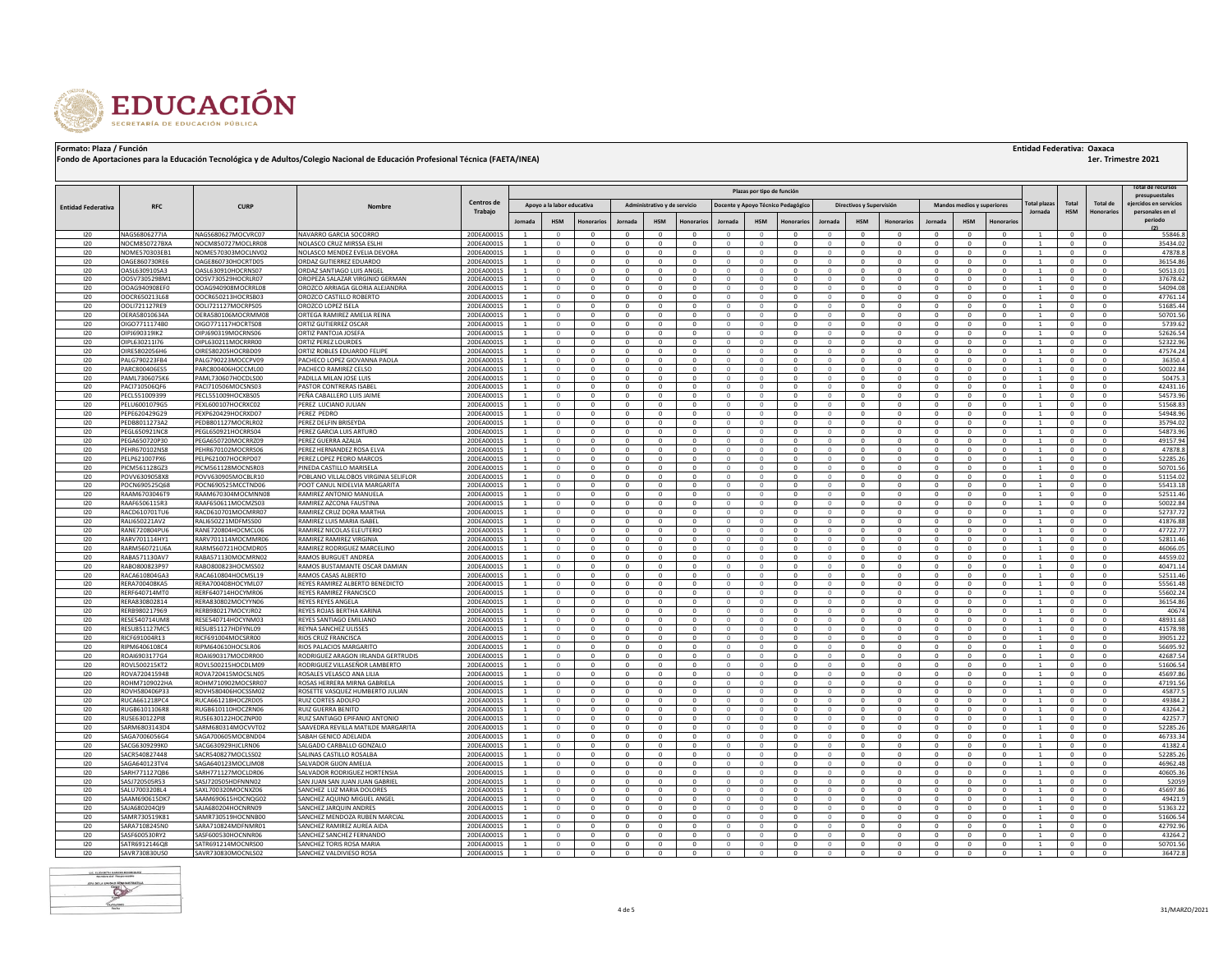

|  | <b>Entidad Federativa: Oaxaca</b> |  |  |
|--|-----------------------------------|--|--|
|--|-----------------------------------|--|--|

| Plazas por tipo de función |                                |                                          |                                                            |                          |                                |                            |                              |                            |                              |                          |                          |                          | <b>Cotal de recurso</b><br>presupuestales |                              |                             |                              |                            |                                   |                          |                                |                            |                      |                             |
|----------------------------|--------------------------------|------------------------------------------|------------------------------------------------------------|--------------------------|--------------------------------|----------------------------|------------------------------|----------------------------|------------------------------|--------------------------|--------------------------|--------------------------|-------------------------------------------|------------------------------|-----------------------------|------------------------------|----------------------------|-----------------------------------|--------------------------|--------------------------------|----------------------------|----------------------|-----------------------------|
| <b>Entidad Federativa</b>  | <b>RFC</b>                     | <b>CURP</b>                              | Nombre                                                     | Centros de               |                                | Apovo a la labor educativa |                              |                            | Administrativo y de servicio |                          |                          |                          | Docente y Apoyo Técnico Pedagógico        |                              | Directivos y Supervisión    |                              |                            | <b>Mandos medios y superiores</b> |                          | 'otal plaza                    | Tota                       | <b>Total de</b>      | eiercidos en servicios      |
|                            |                                |                                          |                                                            | Trabajo                  | <b>Jornad</b>                  | <b>HSM</b>                 |                              | Jornada                    |                              | lonorario                | Jornada                  |                          | onorario                                  | Jornada                      | <b>HSM</b>                  | <b>Honorarios</b>            | Jornada                    | <b>HSM</b>                        | lonorar                  | Jornada                        | <b>HSM</b>                 | <b>Honorarios</b>    | personales en el<br>periodo |
| 120                        | NAGS6806277IA                  | NAGS680627MOCVRC07                       | NAVARRO GARCIA SOCORRO                                     | 20DEA0001S               | $\overline{1}$                 | $\Omega$                   | $\Omega$                     | $\Omega$                   | $\Omega$                     | $\mathbf{0}$             | $\Omega$                 | $\Omega$                 | $^{\circ}$                                | $\Omega$                     | $\Omega$                    | $\Omega$                     | $\Omega$                   | $^{\circ}$                        | $\Omega$                 | $\overline{1}$                 | $^{\circ}$                 | $\Omega$             | (2)<br>55846.8              |
| 120                        | NOCM850727BXA                  | NOCM850727MOCLRR08                       | NOLASCO CRUZ MIRSSA ESLHI                                  | 20DEA00019               | <sup>1</sup>                   | $\circ$                    | $\Omega$                     | $\mathbf{0}$               | $\mathbf{0}$                 | $^{\circ}$               | $\Omega$                 | $\circ$                  | $\mathbf{0}$                              | $\mathbf{0}$                 | $\mathbf{0}$                | $\mathbf{0}$                 | $^{\circ}$                 | $\mathbf{0}$                      | $\mathbf{0}$             | $\overline{1}$                 | $^{\circ}$                 | $^{\circ}$           | 35434.02                    |
| 120                        | NOME570303EB1                  | NOME570303MOCLNV02                       | NOLASCO MENDEZ EVELIA DEVORA                               | 20DEA0001S               | $\overline{1}$                 | $\circ$                    | $\Omega$                     | $\mathbf{0}$               | $\mathbf{0}$                 | $^{\circ}$               | $\Omega$                 | $\Omega$                 | $^{\circ}$                                | $\Omega$                     | $\mathbf{0}$                | $\mathbf 0$                  | $\Omega$                   | $\mathbf{0}$                      | $\Omega$                 | $\overline{1}$                 | $\Omega$                   |                      | 47878.8                     |
| 120                        | OAGE860730RE6                  | OAGE860730HOCRTD05                       | ORDAZ GUTIERREZ EDUARDO                                    | 20DEA0001S               | <sup>1</sup>                   | $\circ$                    | $^{\circ}$                   | $\overline{0}$             | $\mathbf{0}$                 | $\overline{0}$           | $\mathbf{0}$             | $\circ$                  | $\mathbf{0}$                              | $\mathbf{0}$                 | $\mathbf{0}$                | $\mathbf{0}$                 | $^{\circ}$                 | $\mathbf{0}$                      | $\mathbf{0}$             | <sup>1</sup>                   | $\mathbf{0}$               | $^{\circ}$           | 36154.86                    |
| 120                        | OASL630910SA3                  | OASL630910HOCRNS07                       | ORDAZ SANTIAGO LUIS ANGEI                                  | 20DEA0001S               | $\overline{1}$                 | $\circ$                    | $\Omega$                     | $\mathbf{0}$               | $\mathbf{0}$                 | $\mathbf{0}$             | $\Omega$                 | $\mathbf{0}$             | $^{\circ}$                                | $\Omega$                     | $\mathbf{0}$                | $\mathbf 0$                  | $\Omega$                   | $\mathbf{0}$                      | $\Omega$                 | $\overline{1}$                 | $\Omega$                   |                      | 50513.01                    |
| 120                        | OOSV7305298M1                  | OOSV730529HOCRLR07                       | OROPEZA SALAZAR VIRGINIO GERMAN                            | 20DEA00019               | <sup>1</sup>                   | $\circ$                    | $\mathbf{0}$                 | $\mathbf{0}$               | $\mathbf{0}$                 | $\mathbf{0}$             | $\mathbf{0}$             | $\circ$                  | $\mathbf{0}$                              | $\mathbf{0}$                 | $\mathbf{0}$                | $\mathbf{0}$                 | $^{\circ}$                 | $\mathbf 0$                       | $\mathbf{0}$             | <sup>1</sup>                   | $\mathbf{0}$               | $^{\circ}$           | 37678.62                    |
| 120                        | OOAG940908EF0                  | OOAG940908MOCRRL08                       | OROZCO ARRIAGA GLORIA ALEJANDRA                            | 20DEA00019               | <sup>1</sup>                   | $\circ$                    | $\Omega$                     | $^{\circ}$                 | $^{\circ}$                   | $^{\circ}$               | $\Omega$                 | $^{\circ}$               | $^{\circ}$                                | $\mathbf{0}$                 | $^{\circ}$                  | $^{\circ}$                   | $^{\circ}$                 | $^{\circ}$                        | $\Omega$                 | <sup>1</sup>                   | $^{\circ}$                 | $\Omega$             | 54094.08                    |
| 120                        | OOCR650213L68                  | OOCR650213HOCRSB03                       | OROZCO CASTILLO ROBERTO                                    | 20DEA00019               | <sup>1</sup>                   | $\circ$                    | $\Omega$<br>$\Omega$         | $\mathbf{0}$               | $\mathbf{0}$<br>$\Omega$     | $\mathbf{0}$             | $\mathbf{0}$<br>$\Omega$ | $\circ$                  | $\mathbf{0}$                              | $\mathbf{0}$                 | $\mathbf{0}$                | $^{\circ}$                   | $^{\circ}$                 | $\mathbf 0$                       | $^{\circ}$<br>$\Omega$   | <sup>1</sup><br>$\overline{1}$ | $\mathbf{0}$<br>$^{\circ}$ | $\Omega$             | 47761.14                    |
| 120<br>120                 | OOL1721127RE9<br>OFRA58010634A | OOLI721127MOCRPS05<br>OFRA580106MOCRMM08 | OROZCO LOPEZ ISELA<br>ORTEGA RAMIREZ AMELIA REINA          | 20DEA00019<br>20DEA0001S | <sup>1</sup><br><sup>1</sup>   | $\circ$<br>$\circ$         | $\Omega$                     | $^{\circ}$<br>$\mathbf{0}$ | $^{\circ}$                   | $^{\circ}$<br>$^{\circ}$ | $\Omega$                 | $^{\circ}$<br>$^{\circ}$ | $^{\circ}$<br>$^{\circ}$                  | $\mathbf{0}$<br>$\mathbf{0}$ | $^{\circ}$<br>$\Omega$      | $^{\circ}$<br>$\mathbf{0}$   | $^{\circ}$<br>$^{\circ}$   | $^{\circ}$<br>$^{\circ}$          | $\Omega$                 | <sup>1</sup>                   | $^{\circ}$                 | $\Omega$             | 51685.44<br>50701.56        |
| 120                        | OIGO7711174B0                  | OIGO771117HOCRTS08                       | ORTIZ GUTIERREZ OSCAR                                      | 20DEA0001S               | <sup>1</sup>                   | $\circ$                    | $\Omega$                     | $^{\circ}$                 | $^{\circ}$                   | $^{\circ}$               | $\mathbf{0}$             | $^{\circ}$               | $^{\circ}$                                | $\mathbf{0}$                 | $^{\circ}$                  | $\mathbf{0}$                 | $^{\circ}$                 | $^{\circ}$                        | $\Omega$                 | -1                             | $^{\circ}$                 |                      | 5739.62                     |
| 120                        | OIP1690319IK2                  | OIP1690319MOCRNS06                       | ORTIZ PANTOJA JOSEFA                                       | 20DEA0001S               | <sup>1</sup>                   | $\circ$                    | $\Omega$                     | $\mathbf{0}$               | $\mathbf{0}$                 | $^{\circ}$               | $\circ$                  | $^{\circ}$               | $^{\circ}$                                | $\mathbf{0}$                 | $^{\circ}$                  | $^{\circ}$                   | $^{\circ}$                 | $^{\circ}$                        | $\Omega$                 | <sup>1</sup>                   | $^{\circ}$                 | $\Omega$             | 52626.54                    |
| 120                        | OIPL630211I76                  | OIPL630211MOCRRR00                       | ORTIZ PEREZ LOURDES                                        | 20DEA0001S               | $\overline{1}$                 | $\Omega$                   | $\Omega$                     | $\Omega$                   | $\Omega$                     | $\Omega$                 | $\Omega$                 | $\Omega$                 | $^{\circ}$                                | $\Omega$                     | $\Omega$                    | $\Omega$                     | $\Omega$                   | $\Omega$                          | $\Omega$                 | $\overline{1}$                 | $\Omega$                   |                      | 52322.96                    |
| 120                        | OIRE5802056H6                  | OIRE580205HOCRBD09                       | ORTIZ ROBLES EDUARDO FELIPE                                | 20DEA0001S               | <sup>1</sup>                   | $\circ$                    | $\Omega$                     | $^{\circ}$                 | $^{\circ}$                   | $^{\circ}$               | $\circ$                  | $^{\circ}$               | $^{\circ}$                                | $\mathbf{0}$                 | $^{\circ}$                  | $^{\circ}$                   | $^{\circ}$                 | $^{\circ}$                        | $\Omega$                 | <sup>1</sup>                   | $^{\circ}$                 | $\Omega$             | 47574.24                    |
| 120                        | PALG790223FB4                  | PALG790223MOCCPV09                       | PACHECO LOPEZ GIOVANNA PAOLA                               | 20DEA0001S               | $\overline{1}$                 | $\Omega$                   | $\Omega$                     | $\Omega$                   | $^{\circ}$                   | $\Omega$                 | $\Omega$                 | $\Omega$                 | $\Omega$                                  | $\Omega$                     | $\Omega$                    | $\Omega$                     | $\Omega$                   | $\Omega$                          | $\Omega$                 | $\overline{1}$                 | $^{\circ}$                 | $\Omega$             | 36350.4                     |
| 120                        | PARC800406ES5                  | PARC800406HOCCML00                       | PACHECO RAMIREZ CELSO                                      | 20DEA00019               | -1                             | $\Omega$                   | $\Omega$                     | $^{\circ}$                 | $\Omega$                     | $\Omega$                 | $\Omega$                 | $\Omega$                 | $\Omega$                                  |                              | $\Omega$                    | $\Omega$                     | $\Omega$                   | $\Omega$                          | $\Omega$                 |                                | $^{\circ}$                 |                      | 50022.84                    |
| 120                        | PAML7306075K6                  | PAML730607HOCDLS00                       | PADILLA MILAN JOSE LUIS                                    | 20DEA0001S               | $\mathbf{1}$                   | $^{\circ}$                 | $^{\circ}$                   | $\Omega$                   | $^{\circ}$                   | $\Omega$                 | $\Omega$                 | $\Omega$                 | $^{\circ}$                                | $\Omega$                     | $\Omega$                    | $\Omega$                     | $\Omega$                   | $\Omega$                          | $\Omega$                 | -1.                            | $^{\circ}$                 | $\Omega$             | 50475.3                     |
| 120                        | PACI710506QF6                  | PACI710506MOCSNS03                       | ASTOR CONTRERAS ISABEL                                     | 20DEA0001S               | <sup>1</sup>                   | $\circ$                    | $\Omega$                     | $\mathbf{0}$               | $\mathbf{0}$                 | $^{\circ}$               | $\Omega$                 | $\circ$                  | $\mathbf{0}$                              | $\Omega$                     | $\mathbf{0}$                | $\Omega$                     | $\mathbf{0}$               | $\mathbf{0}$                      | $^{\circ}$               |                                | $\mathbf{0}$               | $\Omega$             | 42431.16                    |
| 120<br>120                 | PECL551009399<br>PELU6001079G5 | PECL551009HOCXBS05<br>PEXL600107HOCRXC02 | PEÑA CABALLERO LUIS JAIME<br>EREZ LUCIANO JULIAN           | 20DEA0001S<br>20DEA0001S | -1<br>-1                       | $^{\circ}$<br>$\circ$      | $^{\circ}$<br>$\Omega$       | $^{\circ}$<br>$\mathbf{0}$ | $^{\circ}$<br>$\mathbf{0}$   | $^{\circ}$<br>$^{\circ}$ | $^{\circ}$<br>$\Omega$   | $^{\circ}$<br>$\Omega$   | $^{\circ}$<br>$\mathbf{0}$                | 0<br>$\Omega$                | $^{\circ}$<br>$\mathbf{0}$  | $^{\circ}$<br>$\Omega$       | $^{\circ}$<br>$\mathbf{0}$ | $^{\circ}$<br>$\mathbf{0}$        | $^{\circ}$<br>$\Omega$   | -1                             | $^{\circ}$<br>$\mathbf{0}$ | $^{\circ}$           | 54573.96<br>51568.83        |
| 120                        | PEPE620429G29                  | PEXP620429HOCRXD07                       | PEREZ PEDRO                                                | 20DEA0001S               |                                | $^{\circ}$                 | $^{\circ}$                   | $\mathbf{0}$               | $\mathbf{0}$                 | 0                        |                          | $\overline{0}$           | $^{\circ}$                                |                              | $\mathbf{0}$                | $\mathbf 0$                  | $^{\circ}$                 | $\mathbf 0$                       | $\mathbf 0$              |                                | $^{\circ}$                 |                      | 54948.96                    |
| 120                        | PEDB8011273A2                  | PEDB801127MOCRLR02                       | EREZ DELFIN BRISEYDA                                       | 20DEA0001S               |                                | $\Omega$                   | $\Omega$                     | $\Omega$                   | $\Omega$                     | $^{\circ}$               |                          | $\Omega$                 | $\Omega$                                  |                              | $\mathbf{0}$                | $\Omega$                     | $\Omega$                   | $\mathbf{0}$                      | $\Omega$                 |                                | $\Omega$                   |                      | 35794.02                    |
| 120                        | PEGL650921NC8                  | PEGL650921HOCRRS04                       | <b>PEREZ GARCIA LUIS ARTURO</b>                            | 20DEA0001S               |                                | $\circ$                    | $^{\circ}$                   | $^{\circ}$                 | $\mathbf{0}$                 | $^{\circ}$               |                          | $\circ$                  | $^{\circ}$                                |                              | $^{\circ}$                  | $\mathbf 0$                  | $^{\circ}$                 | $\mathbf{0}$                      | $\mathbf 0$              |                                | $^{\circ}$                 |                      | 54873.96                    |
| 120                        | PEGA650720P30                  | PEGA650720MOCRRZ09                       | PEREZ GUERRA AZALIA                                        | 20DEA0001S               | $\overline{1}$                 | $\mathbf{0}$               | $\mathbf{0}$                 | $^{\circ}$                 | $\mathbf{0}$                 | $\mathbf 0$              |                          | $\mathbf{0}$             | $^{\circ}$                                |                              | $\mathbf 0$                 | $^{\circ}$                   | $\mathbf{0}$               | $\mathbf{0}$                      | $^{\circ}$               |                                | $^{\circ}$                 |                      | 49157.94                    |
| 120                        | PEHR670102NS8                  | PEHR670102MOCRRS06                       | PEREZ HERNANDEZ ROSA ELVA                                  | 20DEA0001S               |                                | $\circ$                    | $\mathbf{0}$                 | $^{\circ}$                 | $\mathbf{0}$                 | 0                        | $\mathbf 0$              | $\mathbf{0}$             | $^{\circ}$                                |                              | $\mathbf 0$                 | $\mathbf 0$                  | $\mathbf{0}$               | $\mathbf{0}$                      | $^{\circ}$               |                                | $^{\circ}$                 |                      | 47878.8                     |
| 120                        | PELP621007PX6                  | PELP621007HOCRPD07                       | PEREZ LOPEZ PEDRO MARCOS                                   | 20DEA0001S               | $\mathbf{1}$                   | $\mathbf{0}$               | $\mathbf{0}$                 | $^{\circ}$                 | $\mathbf{0}$                 | $^{\circ}$               | $\mathbf 0$              | $\circ$                  | $^{\circ}$                                |                              | $\mathbf{0}$                | $^{\circ}$                   | $\mathbf{0}$               | $\mathbf{0}$                      | $^{\circ}$               |                                | $^{\circ}$                 |                      | 52285.26                    |
| 120                        | PICM561128GZ3                  | PICM561128MOCNSR03                       | PINEDA CASTILLO MARISELA                                   | 20DEA0001S               |                                |                            |                              |                            |                              |                          |                          | $\Omega$                 |                                           |                              |                             | $\mathbf 0$                  |                            | $\mathbf 0$                       | $\Omega$                 |                                |                            |                      | 50701.56                    |
| 120                        | POVV6309058X8                  | POVV630905MOCBLR10                       | POBLANO VILLALOBOS VIRGINIA SELIFLOR                       | 20DEA0001S               | $\overline{1}$                 | $\Omega$                   | $\mathbf{0}$                 | $\mathbf{0}$               | $\mathbf{0}$                 | $\mathbf 0$              | $\Omega$                 | $\circ$                  | $\circ$                                   | $\Omega$                     | $\mathbf{0}$                | $\mathbf{0}$                 | $\mathbf{0}$               | $\circ$                           | $\mathbf 0$              | $\overline{1}$                 | $\circ$                    | $\Omega$             | 51154.02                    |
| 120<br>120                 | POCN690525Q68<br>RAAM6703046T9 | POCN690525MCCTND06<br>RAAM670304MOCMNN08 | POOT CANUL NIDELVIA MARGARITA<br>RAMIREZ ANTONIO MANUELA   | 20DEA0001S<br>20DEA0001S | <sup>1</sup><br>$\overline{1}$ | $\Omega$<br>$\Omega$       | $\mathbf{0}$<br>$\mathbf{0}$ | $\mathbf{0}$<br>$^{\circ}$ | $\mathbf{0}$<br>$\mathbf 0$  | $^{\circ}$<br>$^{\circ}$ | $\mathbf 0$<br>$\Omega$  | $\circ$<br>$\circ$       | $\mathbf{0}$<br>$^{\circ}$                | $\Omega$<br>$\Omega$         | $\mathbf{0}$<br>$\mathbf 0$ | $\mathbf{0}$<br>$^{\circ}$   | $\mathbf{0}$<br>$^{\circ}$ | $\mathbf{0}$<br>$\mathbf 0$       | $^{\circ}$<br>$^{\circ}$ | <sup>1</sup><br>$\overline{1}$ | $\bf{0}$<br>$\mathbf{0}$   | $\Omega$<br>$\Omega$ | 55413.18<br>52511.46        |
| 120                        | RAAF6506115R3                  | RAAF650611MOCMZS03                       | RAMIREZ AZCONA FAUSTINA                                    | 20DEA0001S               | $\overline{1}$                 | $\Omega$                   | $\Omega$                     | $\mathbf{0}$               | $\mathbf{0}$                 | $^{\circ}$               | $\Omega$                 | $\circ$                  | $^{\circ}$                                | $\Omega$                     | $\mathbf{0}$                | $^{\circ}$                   | $\Omega$                   | $\mathbf{0}$                      | $^{\circ}$               | $\overline{1}$                 | $\mathbf{0}$               | $\Omega$             | 50022.84                    |
| 120                        | RACD610701TU6                  | RACD610701MOCMRR07                       | RAMIREZ CRUZ DORA MARTHA                                   | 20DEA0001S               | $\overline{1}$                 | $\Omega$                   | $\Omega$                     | $\Omega$                   | $\Omega$                     | $\Omega$                 | $\Omega$                 | $\Omega$                 | $\Omega$                                  | $\Omega$                     | $\Omega$                    | $\mathbf{0}$                 | $\Omega$                   | $\Omega$                          | $\Omega$                 | $\overline{1}$                 | $\Omega$                   | $\Omega$             | 52737.72                    |
| 120                        | RALI650221AV2                  | RALI650221MDFMSS00                       | RAMIREZ LUIS MARIA ISABEL                                  | 20DEA0001S               | $\overline{1}$                 | $\Omega$                   | $\Omega$                     | $\Omega$                   | $\mathbf{0}$                 | $\mathbf 0$              | $\Omega$                 | $\Omega$                 | $\Omega$                                  | $\Omega$                     | $\mathbf{0}$                | $^{\circ}$                   | $\Omega$                   | $\mathbf{0}$                      | $\mathbf 0$              | $\overline{1}$                 | $^{\circ}$                 |                      | 41876.88                    |
| 120                        | RANE720804PU6                  | RANE720804HOCMCL06                       | RAMIREZ NICOLAS ELEUTERIO                                  | 20DEA00019               | $\overline{1}$                 | $\Omega$                   | $\Omega$                     | $\Omega$                   | $\Omega$                     | $\Omega$                 | $\Omega$                 | $\Omega$                 | $\Omega$                                  | $\Omega$                     | $\Omega$                    | $^{\circ}$                   | $\Omega$                   | $\Omega$                          | $\Omega$                 | $\overline{1}$                 | $\Omega$                   | $\Omega$             | 47722.77                    |
| 120                        | RARV701114HY1                  | RARV701114MOCMMR06                       | RAMIREZ RAMIREZ VIRGINIA                                   | 20DEA00019               |                                | $\Omega$                   | $\Omega$                     | $\Omega$                   | $\mathbf{0}$                 | $\Omega$                 | $\Omega$                 | $\Omega$                 | $\Omega$                                  |                              | $\Omega$                    | $\mathbf 0$                  | $\Omega$                   | $\Omega$                          | $\Omega$                 |                                | $\mathbf 0$                |                      | 52811.46                    |
| 120                        | RARM560721U6A                  | RARM560721HOCMDR05                       | RAMIREZ RODRIGUEZ MARCELINO                                | 20DEA00019               | $\overline{1}$                 | $\cap$                     | $\Omega$                     | $\Omega$                   | $\Omega$                     | $\Omega$                 | $\Omega$                 | $\Omega$                 | $\Omega$                                  | $\Omega$                     | $\Omega$                    | $\Omega$                     | $\Omega$                   | $\Omega$                          | $\Omega$                 | $\overline{1}$                 | $\Omega$                   |                      | 46066.05                    |
| 120                        | RABA571130AV7                  | RABA571130MOCMRN02                       | RAMOS BURGUET ANDREA                                       | 20DEA0001S               | $\overline{1}$                 | $\Omega$                   | $\Omega$                     | $\Omega$                   | $\Omega$                     | $\Omega$                 | $\Omega$                 | $\Omega$                 | $\Omega$                                  | $\Omega$                     | $\Omega$                    | $\Omega$                     | $\Omega$                   | $\Omega$                          | $\Omega$                 | $\overline{1}$                 | $\Omega$                   | $\Omega$             | 44559.02                    |
| 120<br>120                 | RABO800823P97<br>RACA610804GA3 | RABO800823HOCMSS02<br>RACA610804HOCMSL19 | RAMOS BUSTAMANTE OSCAR DAMIAN<br>RAMOS CASAS ALBERTO       | 20DEA00019<br>20DEA00019 | $\overline{1}$                 | $\Omega$<br>$\Omega$       | $\Omega$<br>$\Omega$         | $\Omega$<br>$\Omega$       | $\Omega$<br>$\Omega$         | $\Omega$<br>$\Omega$     | O<br>$\Omega$            | $\Omega$                 | $\Omega$<br>$\Omega$                      | $\Omega$                     | $\Omega$<br>$\Omega$        | $\Omega$<br>$\Omega$         | $\Omega$<br>$\Omega$       | $\Omega$<br>$\Omega$              | $\Omega$<br>$\Omega$     | $\overline{1}$                 | $\Omega$<br>$\Omega$       |                      | 40471.14                    |
| 120                        | <b>RERA700408KA5</b>           | RERA700408HOCYML07                       | REYES RAMIREZ ALBERTO BENEDICTO                            | 20DEA00019               | $\overline{1}$                 | $\Omega$                   | $\Omega$                     | $\Omega$                   | $\Omega$                     | $\Omega$                 | $\Omega$                 | $\Omega$                 | $\Omega$                                  | $\Omega$                     | $\Omega$                    | $\Omega$                     | $\Omega$                   | $\Omega$                          | $\Omega$                 |                                | $\Omega$                   |                      | 52511.46<br>55561.48        |
| 120                        | RFRF640714MT0                  | RERE640714HOCYMR06                       | REYES RAMIREZ FRANCISCO                                    | 20DEA0001S               | $\overline{1}$                 | $\Omega$                   | $\Omega$                     | $\Omega$                   | $\Omega$                     | $\Omega$                 | $\Omega$                 | $\Omega$                 | $\Omega$                                  | $\Omega$                     | $\Omega$                    | $\Omega$                     | $\Omega$                   | $\Omega$                          | $\Omega$                 | $\overline{1}$                 | $\Omega$                   |                      | 55602.24                    |
| 120                        | RERA830802814                  | RERA830802MOCYYN06                       | <b>REYES REYES ANGELA</b>                                  | 20DEA0001S               | $\overline{1}$                 | $\Omega$                   | $\Omega$                     | $\Omega$                   | $\Omega$                     | $\Omega$                 | $\Omega$                 | $\mathbf{0}$             | $\Omega$                                  | $\mathbf{0}$                 | $\Omega$                    | $\Omega$                     | $\Omega$                   | $\Omega$                          | $\Omega$                 | $\overline{1}$                 | $\Omega$                   | $\Omega$             | 36154.86                    |
| 120                        | RERB980217969                  | RERB980217MOCYJR02                       | REYES ROJAS BERTHA KARINA                                  | 20DEA0001S               | $\overline{1}$                 | $\Omega$                   | $\Omega$                     | $\Omega$                   | $\Omega$                     | $\Omega$                 | $\Omega$                 | $\Omega$                 | $\Omega$                                  | $\Omega$                     | $\Omega$                    | $\Omega$                     | $\Omega$                   | $\Omega$                          | $\Omega$                 |                                | $\Omega$                   | $\Omega$             | 40674                       |
| 120                        | RESE540714UM8                  | RESE540714HOCYNM03                       | REYES SANTIAGO EMILIANO                                    | 20DEA00019               | $\overline{1}$                 | $\Omega$                   | $\Omega$                     | $\Omega$                   | $\Omega$                     | $\Omega$                 | $\Omega$                 | $\Omega$                 | $\Omega$                                  | $\Omega$                     | $\Omega$                    | $\Omega$                     | $\Omega$                   | $\Omega$                          | $\Omega$                 | $\overline{1}$                 | $\Omega$                   |                      | 48931.68                    |
| 120                        | RESU851127MC5                  | RESU851127HDFYNL09                       | REYNA SANCHEZ ULISSES                                      | 20DEA0001S               | $\overline{1}$                 | $\Omega$                   | $\Omega$                     | $\Omega$                   | $\mathbf{0}$                 | $\Omega$                 | $\Omega$                 | $\Omega$                 | $\Omega$                                  | $\Omega$                     | $\Omega$                    | $\Omega$                     | $\Omega$                   | $\Omega$                          | $\Omega$                 |                                | $\Omega$                   | $\Omega$             | 41578.98                    |
| 120                        | RICF691004R13                  | RICF691004MOCSRR00                       | RIOS CRUZ FRANCISCA                                        | 20DEA0001S               |                                | $\Omega$                   | $\Omega$                     | $\Omega$                   | $\Omega$                     | $\Omega$                 |                          | $\Omega$                 | $\Omega$                                  |                              | $\Omega$                    | $\Omega$                     | $\Omega$                   | $\Omega$                          | $\Omega$                 |                                | $\Omega$                   |                      | 39051.22                    |
| 120                        | RIPM6406108C4                  | RIPM640610HOCSLR06                       | RIOS PALACIOS MARGARITO                                    | 20DEA0001S               | $\overline{1}$                 | $\Omega$                   | $\Omega$                     | $\Omega$                   | $\Omega$                     | $\Omega$                 | $\Omega$                 | $\Omega$                 | $\Omega$                                  | $\Omega$                     | $\Omega$                    | $\Omega$                     | $\Omega$                   | $\Omega$                          | $\Omega$                 |                                | $\Omega$                   |                      | 56695.92                    |
| 120                        | ROAI6903177G4                  | ROAI690317MOCDRR00                       | RODRIGUEZ ARAGON IRLANDA GERTRUDIS                         | 20DEA0001S               |                                | $\Omega$<br>$\Omega$       | $\Omega$                     | $\Omega$<br>$\Omega$       | $\Omega$<br>$\Omega$         | $\Omega$<br>$\Omega$     |                          | $\Omega$                 | $\Omega$<br>$\Omega$                      | $\Omega$<br>$\Omega$         | $\Omega$<br>$\Omega$        | $\Omega$<br>$\Omega$         | $\Omega$<br>$\Omega$       | $\Omega$<br>$\Omega$              | $\Omega$<br>$\Omega$     |                                | $\Omega$<br>$\Omega$       |                      | 42687.54                    |
| 120<br>120                 | ROVL500215KT2<br>ROVA720415948 | ROVL500215HOCDLM09<br>ROVA720415MOCSLN05 | RODRIGUEZ VILLASEÑOR LAMBERTO<br>ROSALES VELASCO ANA LILIA | 20DEA0001S<br>20DEA0001S |                                | $\Omega$                   | $\Omega$                     | $\Omega$                   | $\Omega$                     | $\Omega$                 | $\Omega$                 | $\Omega$                 | $\Omega$                                  | $\Omega$                     | $\Omega$                    | $\Omega$                     | $\Omega$                   | $\Omega$                          | $\Omega$                 |                                | $\Omega$                   |                      | 51606.54<br>45697.86        |
| 120                        | ROHM7109022HA                  | ROHM710902MOCSRR07                       | ROSAS HERRERA MIRNA GABRIELA                               | 20DEA0001S               | $\overline{1}$                 | $\circ$                    | $\Omega$                     | $^{\circ}$                 | $\mathbf{0}$                 | $\mathbf 0$              | $\Omega$                 | $\overline{0}$           | $^{\circ}$                                | $\circ$                      | $\mathbf{0}$                | $^{\circ}$                   | $^{\circ}$                 | $\mathbf{0}$                      | $^{\circ}$               |                                | $^{\circ}$                 |                      | 47191.56                    |
| 120                        | ROVH580406P33                  | ROVH580406HOCSSM02                       | ROSETTE VASQUEZ HUMBERTO JULIAN                            | 20DEA0001S               |                                | $\Omega$                   | $\Omega$                     | $\Omega$                   | $\Omega$                     | $\Omega$                 | $\Omega$                 | $\Omega$                 | $\Omega$                                  | $\Omega$                     | $\Omega$                    | $\Omega$                     | $\Omega$                   | $\Omega$                          | $\Omega$                 |                                | $\Omega$                   |                      | 45877.                      |
| 120                        | RUCA661218PC4                  | RUCA661218HOCZRD05                       | RUIZ CORTES ADOLFO                                         | 20DEA0001S               | <sup>1</sup>                   | $\circ$                    | $\mathbf{0}$                 | $^{\circ}$                 | $\mathbf{0}$                 | $\mathbf 0$              | $\Omega$                 | $\circ$                  | $^{\circ}$                                | $\circ$                      | $\mathbf 0$                 | $^{\circ}$                   | $\mathbf{0}$               | $\mathbf{0}$                      | $^{\circ}$               |                                | $\mathbf{0}$               |                      | 49384.2                     |
| 120                        | RUGB6101106R8                  | RUGB610110HOCZRN06                       | RUIZ GUERRA BENITO                                         | 20DEA0001S               | $\overline{1}$                 | $\Omega$                   | $\Omega$                     | $^{\circ}$                 | $\mathbf{0}$                 | $^{\circ}$               | $\Omega$                 | $\mathbf{0}$             | $^{\circ}$                                | $\Omega$                     | $^{\circ}$                  | $\mathbf{0}$                 | $^{\circ}$                 | $^{\circ}$                        | $\Omega$                 | $\overline{1}$                 | $^{\circ}$                 | $\Omega$             | 43264.2                     |
| 120                        | RUSE630122PI8                  | RUSE630122HOCZNP00                       | RUIZ SANTIAGO EPIFANIO ANTONIO                             | 20DEA0001S               |                                | $\circ$                    | $\mathbf{0}$                 | $\mathbf{0}$               | $\mathbf{0}$                 | $^{\circ}$               | $\mathbf 0$              | $\circ$                  | $\mathbf{0}$                              | $\mathbf{0}$                 | $\mathbf{0}$                | $\mathbf 0$                  | $\mathbf{0}$               | $\mathbf{0}$                      | $\mathbf 0$              |                                | $\mathbf{0}$               |                      | 42257.7                     |
| 120                        | SARM6803143D4                  | SARM680314MOCVVT02                       | SAAVEDRA REVILLA MATILDE MARGARITA                         | 20DEA0001S               | $\overline{1}$                 | $\circ$                    | $\Omega$                     | $^{\circ}$                 | $\mathbf{0}$                 | $^{\circ}$               | $\Omega$                 | $\mathbf{0}$             | $^{\circ}$                                | $\Omega$                     | $^{\circ}$                  | $\mathbf{0}$                 | $^{\circ}$                 | $^{\circ}$                        | $\Omega$                 | $\overline{1}$                 | $^{\circ}$                 | $\Omega$             | 52285.26                    |
| 120                        | SAGA7006056G4                  | SAGA700605MOCBND04                       | SABAH GENICO ADELAIDA                                      | 20DEA0001S               |                                | $\mathbf{0}$               | $\Omega$                     | $^{\circ}$                 | $\mathbf{0}$                 | $\mathbf 0$              | $\Omega$                 | $\overline{0}$           | $^{\circ}$                                |                              | $\mathbf 0$                 | $\mathbf 0$                  |                            | $\mathbf 0$                       | $\mathbf 0$              |                                | $\mathbf 0$                |                      | 46733.34                    |
| 120                        | SACG6309299K0                  | SACG630929HJCLRN06                       | SALGADO CARBALLO GONZALO                                   | 20DEA0001S               | $\overline{1}$                 | $\circ$                    | $\Omega$<br>$\Omega$         | $^{\circ}$                 | $^{\circ}$                   | $^{\circ}$               | $\Omega$                 | $\mathbf{0}$             | $^{\circ}$                                | $\Omega$                     | $^{\circ}$                  | $^{\circ}$                   | $^{\circ}$                 | $^{\circ}$                        | $^{\circ}$<br>$\Omega$   | $\overline{1}$                 | $^{\circ}$                 | $\Omega$             | 41382.4                     |
| 120<br>120                 | SACR540827448<br>SAGA640123TV4 | SACR540827MOCLSS02<br>SAGA640123MOCLJM08 | SALINAS CASTILLO ROSALBA<br>SALVADOR GIJON AMELIA          | 20DEA0001S<br>20DEA0001S | $\overline{1}$                 | $\circ$<br>$\circ$         | $\Omega$                     | $\mathbf{0}$<br>$^{\circ}$ | $\mathbf{0}$<br>$^{\circ}$   | $^{\circ}$<br>$^{\circ}$ | $\mathbf{0}$<br>0        | $\circ$<br>$\Omega$      | $\mathbf{0}$<br>$\Omega$                  | $\Omega$                     | $\mathbf{0}$<br>$\Omega$    | $\mathbf{0}$<br>$\mathbf{0}$ | $\mathbf{0}$               | $\mathbf{0}$<br>$^{\circ}$        | $\Omega$                 | $\overline{1}$                 | $\mathbf{0}$<br>$^{\circ}$ | $\Omega$             | 52285.26<br>46962.48        |
| 120                        | SARH771127QB6                  | SARH771127MOCLDR06                       | SALVADOR RODRIGUEZ HORTENSIA                               | 20DEA00019               | $\overline{1}$                 | $\circ$                    | $\Omega$                     | $\mathbf{0}$               | $\mathbf{0}$                 | $\mathbf{0}$             | $\mathbf{0}$             | $\circ$                  | $\mathbf{0}$                              | $\Omega$                     | $\mathbf{0}$                | $^{\circ}$                   | $^{\circ}$                 | $\mathbf{0}$                      | $^{\circ}$               | $\overline{1}$                 | $\mathbf{0}$               | $\Omega$             | 40605.36                    |
| 120                        | SASJ720505R53                  | SASJ720505HDFNNN02                       | SAN JUAN SAN JUAN JUAN GABRIEL                             | 20DEA0001S               | <sup>1</sup>                   | $\Omega$                   | $\Omega$                     | $^{\circ}$                 | $^{\circ}$                   | $^{\circ}$               | $\circ$                  | $^{\circ}$               | $^{\circ}$                                | $\Omega$                     | $\Omega$                    | $^{\circ}$                   | $^{\circ}$                 | $^{\circ}$                        | $\Omega$                 | $\overline{1}$                 | $^{\circ}$                 | $\Omega$             | 52059                       |
| 120                        | SALU7003208L4                  | SAXL700320MOCNXZ06                       | SANCHEZ LUZ MARIA DOLORES                                  | 20DEA00019               | $\overline{1}$                 | $\circ$                    | $\Omega$                     | $\mathbf{0}$               | $\mathbf{0}$                 | $\mathbf{0}$             | $\mathbf{0}$             | $\circ$                  | $\mathbf{0}$                              | $\Omega$                     | $\mathbf{0}$                | $^{\circ}$                   | $\Omega$                   | $\mathbf{0}$                      | $^{\circ}$               | $\overline{1}$                 | $\mathbf{0}$               | $\Omega$             | 45697.86                    |
| 120                        | SAAM690615DK7                  | SAAM690615HOCNOG02                       | SANCHEZ AQUINO MIGUEL ANGEL                                | 20DEA0001S               | -1                             | $\Omega$                   | $\Omega$                     | $^{\circ}$                 | $^{\circ}$                   | $^{\circ}$               | $\circ$                  | $^{\circ}$               | $^{\circ}$                                | $\Omega$                     | $\Omega$                    | $^{\circ}$                   | $\Omega$                   | $^{\circ}$                        | $\Omega$                 | $\overline{1}$                 | $^{\circ}$                 | $\Omega$             | 49421.9                     |
| 120                        | SAIA680204019                  | SAIA680204HOCNRN09                       | SANCHEZ JAROUIN ANDRES                                     | 20DEA0001S               | $\overline{1}$                 | $\Omega$                   | $\Omega$                     | $\Omega$                   | $^{\circ}$                   | $\Omega$                 | $\Omega$                 | $\Omega$                 | $^{\circ}$                                | $\Omega$                     | $\Omega$                    | $\Omega$                     | $\Omega$                   | $\Omega$                          | $\Omega$                 | $\overline{1}$                 | $^{\circ}$                 | $\Omega$             | 51363.22                    |
| 120                        | SAMR730519K81                  | SAMR730519HOCNNB00                       | SANCHEZ MENDOZA RUBEN MARCIAL                              | 20DEA0001S               | $\overline{1}$                 | $\Omega$                   | $\Omega$                     | $\Omega$                   | $^{\circ}$                   | $^{\circ}$               | $\Omega$                 | $^{\circ}$               | $^{\circ}$                                | $\Omega$                     | $\Omega$                    | $\Omega$                     | $\Omega$                   | $^{\circ}$                        | $\Omega$                 | $\overline{1}$                 | $^{\circ}$                 | $\Omega$             | 51606.54                    |
| 120                        | SARA7108245N0                  | SARA710824MDENMR01                       | SANCHEZ RAMIREZ AUREA AIDA                                 | 20DEA0001S               | $\overline{1}$                 | $\Omega$                   | $\Omega$                     | $\Omega$                   | $^{\circ}$                   | $\Omega$                 | $\Omega$                 | $\Omega$                 | $^{\circ}$                                | $\Omega$                     | $\Omega$                    | $\Omega$                     | $\Omega$                   | $\Omega$                          | $\Omega$                 | $\overline{1}$                 | $^{\circ}$                 | $\Omega$             | 42792.96                    |
| 120                        | SASF600530RY2                  | SASF600530HOCNNR06                       | SANCHEZ SANCHEZ FERNANDO                                   | 20DEA0001S               |                                | $\circ$                    | $^{\circ}$                   | $\mathbf 0$                | $^{\circ}$                   | 0                        | 0                        | $\circ$                  | $^{\circ}$                                |                              | $^{\circ}$                  | $\mathbf{0}$                 | $^{\circ}$                 | $^{\circ}$                        | $^{\circ}$               |                                | $^{\circ}$                 |                      | 43264.2                     |
| 120<br>120                 | SATR6912146O8<br>SAVR730830US0 | SATR691214MOCNRS00<br>SAVR730830MOCNLS02 | SANCHEZ TORIS ROSA MARIA<br>SANCHEZ VALDIVIESO ROSA        | 20DEA0001S<br>20DEA0001S | $\overline{1}$                 | $\Omega$                   | $\Omega$                     | $\Omega$                   | $\Omega$                     | $\Omega$                 | $\Omega$                 | $\Omega$                 | $\Omega$                                  | $\Omega$                     | $\Omega$                    | $\Omega$                     | $\Omega$                   | $\Omega$                          | $\Omega$                 | $\overline{1}$                 | $\Omega$                   | $\Omega$             | 50701.56<br>36472.8         |
|                            |                                |                                          |                                                            |                          | -1                             | $^{\circ}$                 | $^{\circ}$                   | $^{\circ}$                 | $^{\circ}$                   | 0                        | 0                        | $\circ$                  | $^{\circ}$                                |                              | $^{\circ}$                  | 0                            |                            | $^{\circ}$                        | $\mathbf 0$              |                                | $^{\circ}$                 |                      |                             |